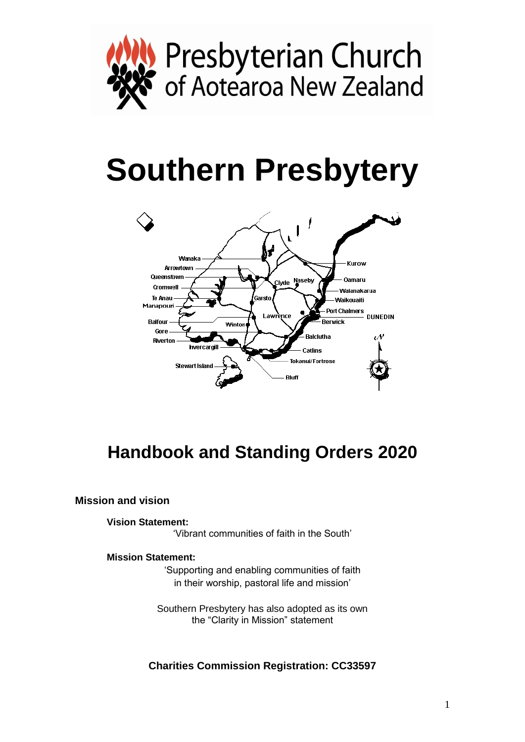

# **Southern Presbytery**



# **Handbook and Standing Orders 2020**

**Mission and vision**

**Vision Statement:**

'Vibrant communities of faith in the South'

# **Mission Statement:**

'Supporting and enabling communities of faith in their worship, pastoral life and mission'

Southern Presbytery has also adopted as its own the "Clarity in Mission" statement

**Charities Commission Registration: CC33597**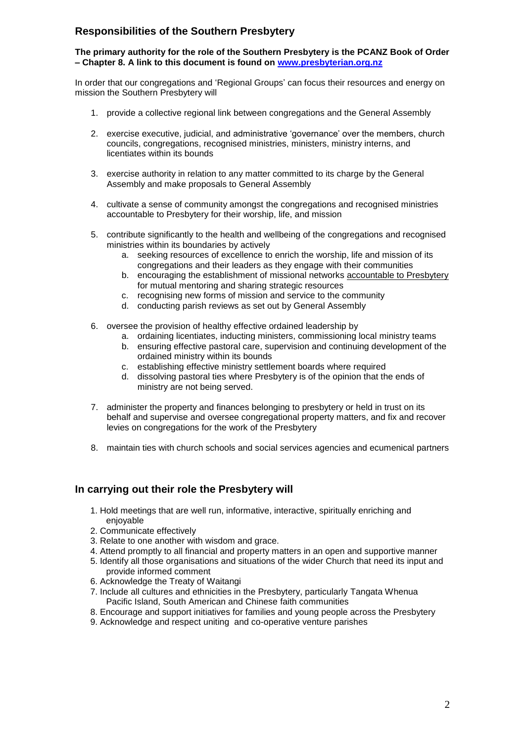# **Responsibilities of the Southern Presbytery**

**The primary authority for the role of the Southern Presbytery is the PCANZ Book of Order – Chapter 8. A link to this document is found on [www.presbyterian.org.nz](http://www.presbyterian.org.nz/)**

In order that our congregations and 'Regional Groups' can focus their resources and energy on mission the Southern Presbytery will

- 1. provide a collective regional link between congregations and the General Assembly
- 2. exercise executive, judicial, and administrative 'governance' over the members, church councils, congregations, recognised ministries, ministers, ministry interns, and licentiates within its bounds
- 3. exercise authority in relation to any matter committed to its charge by the General Assembly and make proposals to General Assembly
- 4. cultivate a sense of community amongst the congregations and recognised ministries accountable to Presbytery for their worship, life, and mission
- 5. contribute significantly to the health and wellbeing of the congregations and recognised ministries within its boundaries by actively
	- a. seeking resources of excellence to enrich the worship, life and mission of its congregations and their leaders as they engage with their communities
	- b. encouraging the establishment of missional networks accountable to Presbytery for mutual mentoring and sharing strategic resources
	- c. recognising new forms of mission and service to the community
	- d. conducting parish reviews as set out by General Assembly
- 6. oversee the provision of healthy effective ordained leadership by
	- a. ordaining licentiates, inducting ministers, commissioning local ministry teams
	- b. ensuring effective pastoral care, supervision and continuing development of the ordained ministry within its bounds
	- c. establishing effective ministry settlement boards where required
	- d. dissolving pastoral ties where Presbytery is of the opinion that the ends of ministry are not being served.
- 7. administer the property and finances belonging to presbytery or held in trust on its behalf and supervise and oversee congregational property matters, and fix and recover levies on congregations for the work of the Presbytery
- 8. maintain ties with church schools and social services agencies and ecumenical partners

# **In carrying out their role the Presbytery will**

- 1. Hold meetings that are well run, informative, interactive, spiritually enriching and enjoyable
- 2. Communicate effectively
- 3. Relate to one another with wisdom and grace.
- 4. Attend promptly to all financial and property matters in an open and supportive manner
- 5. Identify all those organisations and situations of the wider Church that need its input and provide informed comment
- 6. Acknowledge the Treaty of Waitangi
- 7. Include all cultures and ethnicities in the Presbytery, particularly Tangata Whenua Pacific Island, South American and Chinese faith communities
- 8. Encourage and support initiatives for families and young people across the Presbytery
- 9. Acknowledge and respect uniting and co-operative venture parishes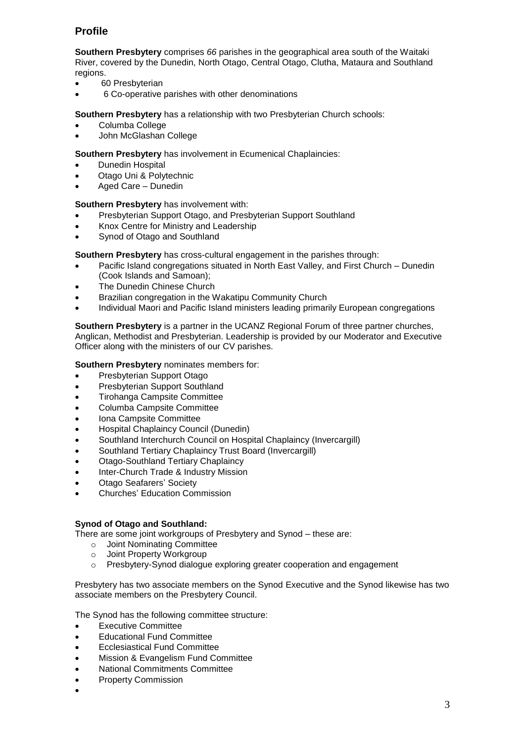# **Profile**

**Southern Presbytery** comprises *66* parishes in the geographical area south of the Waitaki River, covered by the Dunedin, North Otago, Central Otago, Clutha, Mataura and Southland regions.

- 60 Presbyterian
- 6 Co-operative parishes with other denominations

**Southern Presbytery** has a relationship with two Presbyterian Church schools:

- Columba College
- John McGlashan College

**Southern Presbytery** has involvement in Ecumenical Chaplaincies:

- Dunedin Hospital
- Otago Uni & Polytechnic
- Aged Care Dunedin

**Southern Presbytery** has involvement with:

- Presbyterian Support Otago, and Presbyterian Support Southland
- Knox Centre for Ministry and Leadership
- Synod of Otago and Southland

**Southern Presbytery** has cross-cultural engagement in the parishes through:

- Pacific Island congregations situated in North East Valley, and First Church Dunedin (Cook Islands and Samoan);
- The Dunedin Chinese Church
- Brazilian congregation in the Wakatipu Community Church
- Individual Maori and Pacific Island ministers leading primarily European congregations

**Southern Presbytery** is a partner in the UCANZ Regional Forum of three partner churches, Anglican, Methodist and Presbyterian. Leadership is provided by our Moderator and Executive Officer along with the ministers of our CV parishes.

#### **Southern Presbytery** nominates members for:

- Presbyterian Support Otago
- Presbyterian Support Southland
- Tirohanga Campsite Committee
- Columba Campsite Committee
- Iona Campsite Committee
- Hospital Chaplaincy Council (Dunedin)
- Southland Interchurch Council on Hospital Chaplaincy (Invercargill)
- Southland Tertiary Chaplaincy Trust Board (Invercargill)
- Otago-Southland Tertiary Chaplaincy
- Inter-Church Trade & Industry Mission
- Otago Seafarers' Society
- Churches' Education Commission

#### **Synod of Otago and Southland:**

There are some joint workgroups of Presbytery and Synod – these are:

- o Joint Nominating Committee
- o Joint Property Workgroup
- $\circ$  Presbytery-Synod dialogue exploring greater cooperation and engagement

Presbytery has two associate members on the Synod Executive and the Synod likewise has two associate members on the Presbytery Council.

The Synod has the following committee structure:

- Executive Committee
- Educational Fund Committee
- Ecclesiastical Fund Committee
- Mission & Evangelism Fund Committee
- National Commitments Committee
- Property Commission
- $\bullet$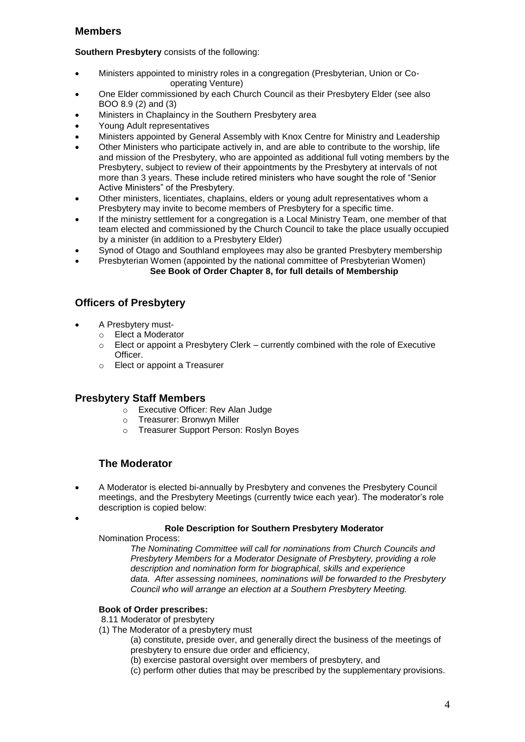# **Members**

**Southern Presbytery** consists of the following:

- Ministers appointed to ministry roles in a congregation (Presbyterian, Union or Cooperating Venture)
- One Elder commissioned by each Church Council as their Presbytery Elder (see also BOO 8.9 (2) and (3)
- Ministers in Chaplaincy in the Southern Presbytery area
- Young Adult representatives
- Ministers appointed by General Assembly with Knox Centre for Ministry and Leadership
- Other Ministers who participate actively in, and are able to contribute to the worship, life and mission of the Presbytery, who are appointed as additional full voting members by the Presbytery, subject to review of their appointments by the Presbytery at intervals of not more than 3 years. These include retired ministers who have sought the role of "Senior Active Ministers" of the Presbytery.
- Other ministers, licentiates, chaplains, elders or young adult representatives whom a Presbytery may invite to become members of Presbytery for a specific time.
- If the ministry settlement for a congregation is a Local Ministry Team, one member of that team elected and commissioned by the Church Council to take the place usually occupied by a minister (in addition to a Presbytery Elder)
- Synod of Otago and Southland employees may also be granted Presbytery membership
- Presbyterian Women (appointed by the national committee of Presbyterian Women) **See Book of Order Chapter 8, for full details of Membership**

# **Officers of Presbytery**

- A Presbytery must
	- o Elect a Moderator
	- $\circ$  Elect or appoint a Presbytery Clerk currently combined with the role of Executive Officer.
	- o Elect or appoint a Treasurer

# **Presbytery Staff Members**

- o Executive Officer: Rev Alan Judge
- o Treasurer: Bronwyn Miller<br>
o Treasurer Sunnort Person
- Treasurer Support Person: Roslyn Boyes

# **The Moderator**

 A Moderator is elected bi-annually by Presbytery and convenes the Presbytery Council meetings, and the Presbytery Meetings (currently twice each year). The moderator's role description is copied below:

# **Role Description for Southern Presbytery Moderator**

Nomination Process:

 $\bullet$ 

*The Nominating Committee will call for nominations from Church Councils and Presbytery Members for a Moderator Designate of Presbytery, providing a role description and nomination form for biographical, skills and experience data. After assessing nominees, nominations will be forwarded to the Presbytery Council who will arrange an election at a Southern Presbytery Meeting.*

# **Book of Order prescribes:**

8.11 Moderator of presbytery

- (1) The Moderator of a presbytery must
	- (a) constitute, preside over, and generally direct the business of the meetings of presbytery to ensure due order and efficiency,
	- (b) exercise pastoral oversight over members of presbytery, and
	- (c) perform other duties that may be prescribed by the supplementary provisions.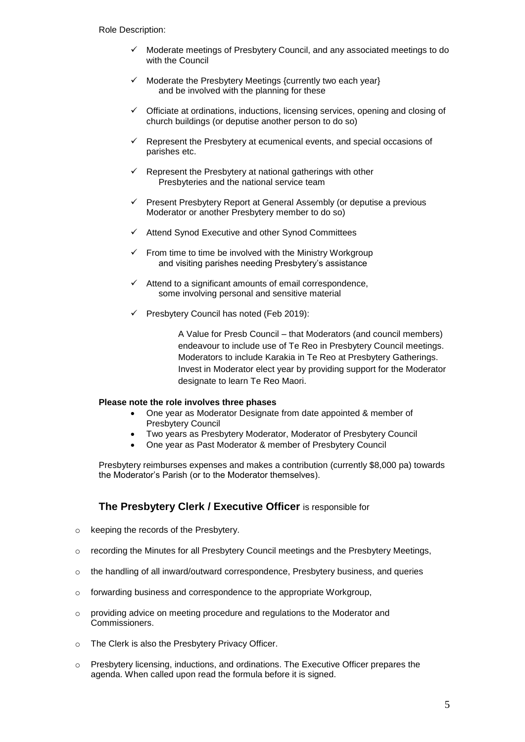- Moderate meetings of Presbytery Council, and any associated meetings to do with the Council
- $\checkmark$  Moderate the Presbytery Meetings {currently two each year} and be involved with the planning for these
- $\checkmark$  Officiate at ordinations, inductions, licensing services, opening and closing of church buildings (or deputise another person to do so)
- Represent the Presbytery at ecumenical events, and special occasions of parishes etc.
- Represent the Presbytery at national gatherings with other Presbyteries and the national service team
- $\checkmark$  Present Presbytery Report at General Assembly (or deputise a previous Moderator or another Presbytery member to do so)
- $\checkmark$  Attend Synod Executive and other Synod Committees
- $\checkmark$  From time to time be involved with the Ministry Workgroup and visiting parishes needing Presbytery's assistance
- $\checkmark$  Attend to a significant amounts of email correspondence, some involving personal and sensitive material
- $\checkmark$  Presbytery Council has noted (Feb 2019):

A Value for Presb Council – that Moderators (and council members) endeavour to include use of Te Reo in Presbytery Council meetings. Moderators to include Karakia in Te Reo at Presbytery Gatherings. Invest in Moderator elect year by providing support for the Moderator designate to learn Te Reo Maori.

#### **Please note the role involves three phases**

- One year as Moderator Designate from date appointed & member of Presbytery Council
- Two years as Presbytery Moderator, Moderator of Presbytery Council
- One year as Past Moderator & member of Presbytery Council

Presbytery reimburses expenses and makes a contribution (currently \$8,000 pa) towards the Moderator's Parish (or to the Moderator themselves).

# **The Presbytery Clerk / Executive Officer** is responsible for

- o keeping the records of the Presbytery.
- o recording the Minutes for all Presbytery Council meetings and the Presbytery Meetings,
- o the handling of all inward/outward correspondence, Presbytery business, and queries
- o forwarding business and correspondence to the appropriate Workgroup,
- $\circ$  providing advice on meeting procedure and regulations to the Moderator and Commissioners.
- o The Clerk is also the Presbytery Privacy Officer.
- $\circ$  Presbytery licensing, inductions, and ordinations. The Executive Officer prepares the agenda. When called upon read the formula before it is signed.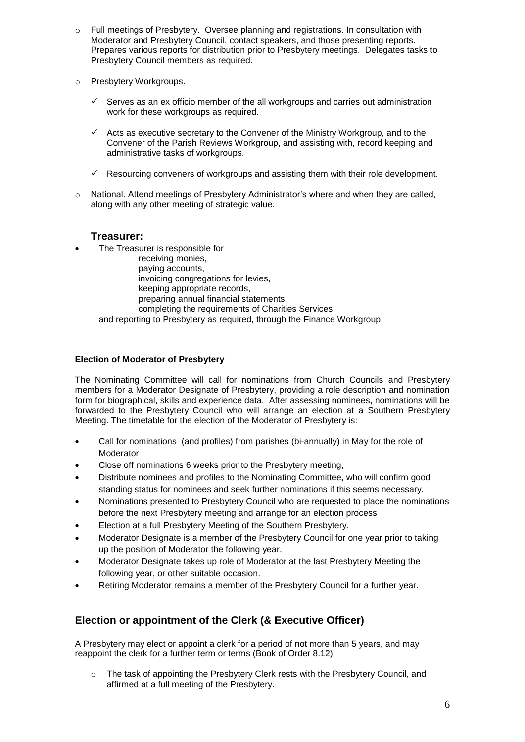- o Full meetings of Presbytery. Oversee planning and registrations. In consultation with Moderator and Presbytery Council, contact speakers, and those presenting reports. Prepares various reports for distribution prior to Presbytery meetings. Delegates tasks to Presbytery Council members as required.
- o Presbytery Workgroups.
	- $\checkmark$  Serves as an ex officio member of the all workgroups and carries out administration work for these workgroups as required.
	- $\checkmark$  Acts as executive secretary to the Convener of the Ministry Workgroup, and to the Convener of the Parish Reviews Workgroup, and assisting with, record keeping and administrative tasks of workgroups.
	- $\checkmark$  Resourcing conveners of workgroups and assisting them with their role development.
- $\circ$  National. Attend meetings of Presbytery Administrator's where and when they are called, along with any other meeting of strategic value.

# **Treasurer:**

The Treasurer is responsible for

receiving monies,

paying accounts,

invoicing congregations for levies,

keeping appropriate records,

preparing annual financial statements,

completing the requirements of Charities Services

and reporting to Presbytery as required, through the Finance Workgroup.

#### **Election of Moderator of Presbytery**

The Nominating Committee will call for nominations from Church Councils and Presbytery members for a Moderator Designate of Presbytery, providing a role description and nomination form for biographical, skills and experience data. After assessing nominees, nominations will be forwarded to the Presbytery Council who will arrange an election at a Southern Presbytery Meeting. The timetable for the election of the Moderator of Presbytery is:

- Call for nominations (and profiles) from parishes (bi-annually) in May for the role of Moderator
- Close off nominations 6 weeks prior to the Presbytery meeting,
- Distribute nominees and profiles to the Nominating Committee, who will confirm good standing status for nominees and seek further nominations if this seems necessary.
- Nominations presented to Presbytery Council who are requested to place the nominations before the next Presbytery meeting and arrange for an election process
- Election at a full Presbytery Meeting of the Southern Presbytery.
- Moderator Designate is a member of the Presbytery Council for one year prior to taking up the position of Moderator the following year.
- Moderator Designate takes up role of Moderator at the last Presbytery Meeting the following year, or other suitable occasion.
- Retiring Moderator remains a member of the Presbytery Council for a further year.

# **Election or appointment of the Clerk (& Executive Officer)**

A Presbytery may elect or appoint a clerk for a period of not more than 5 years, and may reappoint the clerk for a further term or terms (Book of Order 8.12)

 $\circ$  The task of appointing the Presbytery Clerk rests with the Presbytery Council, and affirmed at a full meeting of the Presbytery.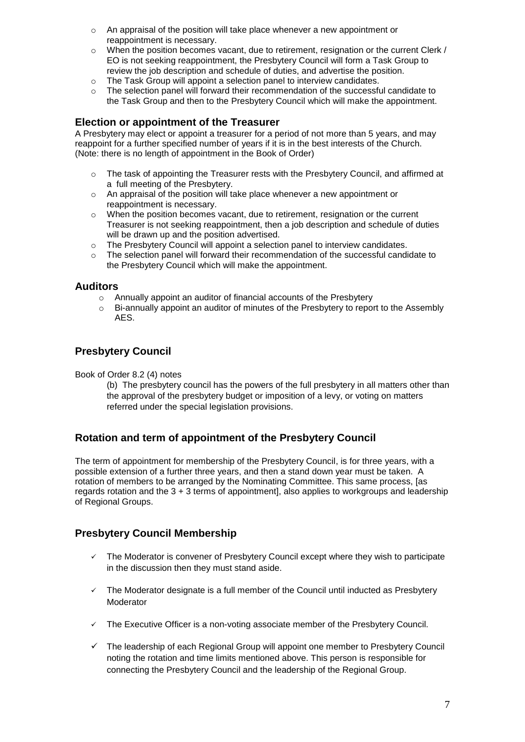- $\circ$  An appraisal of the position will take place whenever a new appointment or reappointment is necessary.
- $\circ$  When the position becomes vacant, due to retirement, resignation or the current Clerk / EO is not seeking reappointment, the Presbytery Council will form a Task Group to review the job description and schedule of duties, and advertise the position.
- o The Task Group will appoint a selection panel to interview candidates.
- $\circ$  The selection panel will forward their recommendation of the successful candidate to the Task Group and then to the Presbytery Council which will make the appointment.

### **Election or appointment of the Treasurer**

A Presbytery may elect or appoint a treasurer for a period of not more than 5 years, and may reappoint for a further specified number of years if it is in the best interests of the Church. (Note: there is no length of appointment in the Book of Order)

- o The task of appointing the Treasurer rests with the Presbytery Council, and affirmed at a full meeting of the Presbytery.
- $\circ$  An appraisal of the position will take place whenever a new appointment or reappointment is necessary.
- $\circ$  When the position becomes vacant, due to retirement, resignation or the current Treasurer is not seeking reappointment, then a job description and schedule of duties will be drawn up and the position advertised.
- $\circ$  The Presbytery Council will appoint a selection panel to interview candidates.
- o The selection panel will forward their recommendation of the successful candidate to the Presbytery Council which will make the appointment.

#### **Auditors**

- o Annually appoint an auditor of financial accounts of the Presbytery
- o Bi-annually appoint an auditor of minutes of the Presbytery to report to the Assembly AES.

# **Presbytery Council**

Book of Order 8.2 (4) notes

(b) The presbytery council has the powers of the full presbytery in all matters other than the approval of the presbytery budget or imposition of a levy, or voting on matters referred under the special legislation provisions.

# **Rotation and term of appointment of the Presbytery Council**

The term of appointment for membership of the Presbytery Council, is for three years, with a possible extension of a further three years, and then a stand down year must be taken. A rotation of members to be arranged by the Nominating Committee. This same process, [as regards rotation and the 3 + 3 terms of appointment], also applies to workgroups and leadership of Regional Groups.

# **Presbytery Council Membership**

- $\checkmark$  The Moderator is convener of Presbytery Council except where they wish to participate in the discussion then they must stand aside.
- $\checkmark$  The Moderator designate is a full member of the Council until inducted as Presbytery Moderator
- $\checkmark$  The Executive Officer is a non-voting associate member of the Presbytery Council.
- $\checkmark$  The leadership of each Regional Group will appoint one member to Presbytery Council noting the rotation and time limits mentioned above. This person is responsible for connecting the Presbytery Council and the leadership of the Regional Group.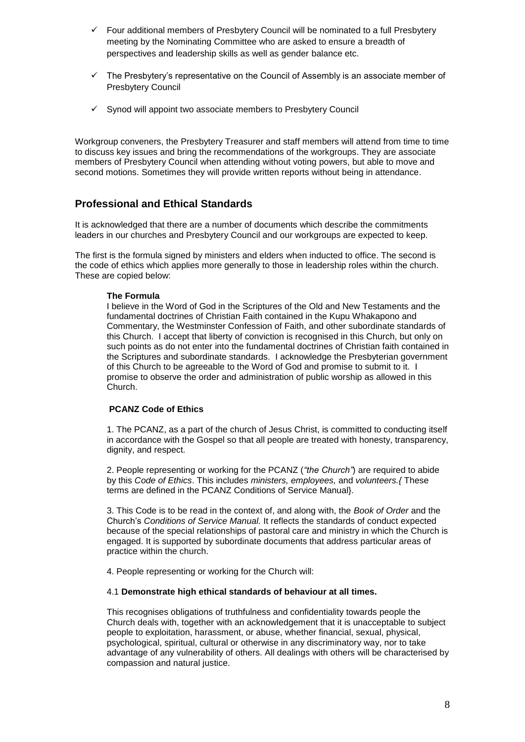- $\checkmark$  Four additional members of Presbytery Council will be nominated to a full Presbytery meeting by the Nominating Committee who are asked to ensure a breadth of perspectives and leadership skills as well as gender balance etc.
- $\checkmark$  The Presbytery's representative on the Council of Assembly is an associate member of Presbytery Council
- $\checkmark$  Synod will appoint two associate members to Presbytery Council

Workgroup conveners, the Presbytery Treasurer and staff members will attend from time to time to discuss key issues and bring the recommendations of the workgroups. They are associate members of Presbytery Council when attending without voting powers, but able to move and second motions. Sometimes they will provide written reports without being in attendance.

# **Professional and Ethical Standards**

It is acknowledged that there are a number of documents which describe the commitments leaders in our churches and Presbytery Council and our workgroups are expected to keep.

The first is the formula signed by ministers and elders when inducted to office. The second is the code of ethics which applies more generally to those in leadership roles within the church. These are copied below:

#### **The Formula**

I believe in the Word of God in the Scriptures of the Old and New Testaments and the fundamental doctrines of Christian Faith contained in the Kupu Whakapono and Commentary, the Westminster Confession of Faith, and other subordinate standards of this Church. I accept that liberty of conviction is recognised in this Church, but only on such points as do not enter into the fundamental doctrines of Christian faith contained in the Scriptures and subordinate standards. I acknowledge the Presbyterian government of this Church to be agreeable to the Word of God and promise to submit to it. I promise to observe the order and administration of public worship as allowed in this Church.

#### **PCANZ Code of Ethics**

1. The PCANZ, as a part of the church of Jesus Christ, is committed to conducting itself in accordance with the Gospel so that all people are treated with honesty, transparency, dignity, and respect.

2. People representing or working for the PCANZ (*"the Church"*) are required to abide by this *Code of Ethics*. This includes *ministers, employees,* and *volunteers.{* These terms are defined in the PCANZ Conditions of Service Manual}.

3. This Code is to be read in the context of, and along with, the *Book of Order* and the Church's *Conditions of Service Manual.* It reflects the standards of conduct expected because of the special relationships of pastoral care and ministry in which the Church is engaged. It is supported by subordinate documents that address particular areas of practice within the church.

4. People representing or working for the Church will:

#### 4.1 **Demonstrate high ethical standards of behaviour at all times.**

This recognises obligations of truthfulness and confidentiality towards people the Church deals with, together with an acknowledgement that it is unacceptable to subject people to exploitation, harassment, or abuse, whether financial, sexual, physical, psychological, spiritual, cultural or otherwise in any discriminatory way, nor to take advantage of any vulnerability of others. All dealings with others will be characterised by compassion and natural justice.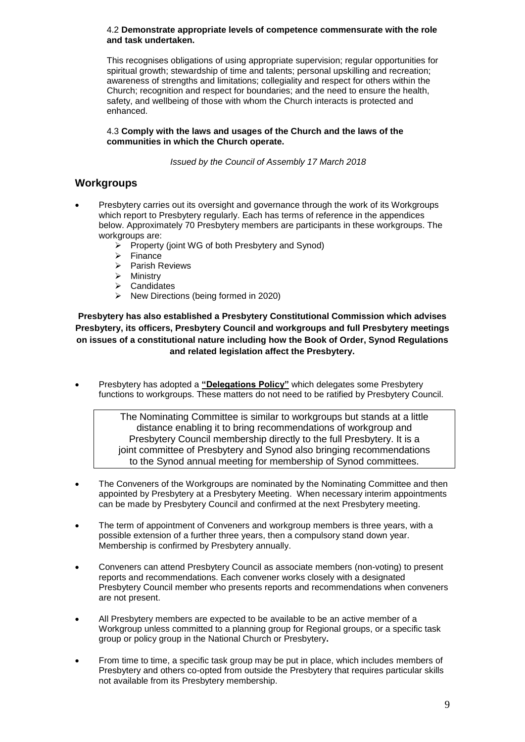#### 4.2 **Demonstrate appropriate levels of competence commensurate with the role and task undertaken.**

This recognises obligations of using appropriate supervision; regular opportunities for spiritual growth; stewardship of time and talents; personal upskilling and recreation; awareness of strengths and limitations; collegiality and respect for others within the Church; recognition and respect for boundaries; and the need to ensure the health, safety, and wellbeing of those with whom the Church interacts is protected and enhanced.

#### 4.3 **Comply with the laws and usages of the Church and the laws of the communities in which the Church operate.**

*Issued by the Council of Assembly 17 March 2018*

# **Workgroups**

- Presbytery carries out its oversight and governance through the work of its Workgroups which report to Presbytery regularly. Each has terms of reference in the appendices below. Approximately 70 Presbytery members are participants in these workgroups. The workgroups are:
	- $\triangleright$  Property (joint WG of both Presbytery and Synod)
	- $\triangleright$  Finance
	- $\triangleright$  Parish Reviews
	- $\triangleright$  Ministry
	- $\triangleright$  Candidates
	- $\triangleright$  New Directions (being formed in 2020)

# **Presbytery has also established a Presbytery Constitutional Commission which advises Presbytery, its officers, Presbytery Council and workgroups and full Presbytery meetings on issues of a constitutional nature including how the Book of Order, Synod Regulations and related legislation affect the Presbytery.**

 Presbytery has adopted a **"Delegations Policy"** which delegates some Presbytery functions to workgroups. These matters do not need to be ratified by Presbytery Council.

> The Nominating Committee is similar to workgroups but stands at a little distance enabling it to bring recommendations of workgroup and Presbytery Council membership directly to the full Presbytery. It is a joint committee of Presbytery and Synod also bringing recommendations to the Synod annual meeting for membership of Synod committees.

- The Conveners of the Workgroups are nominated by the Nominating Committee and then appointed by Presbytery at a Presbytery Meeting. When necessary interim appointments can be made by Presbytery Council and confirmed at the next Presbytery meeting.
- The term of appointment of Conveners and workgroup members is three years, with a possible extension of a further three years, then a compulsory stand down year. Membership is confirmed by Presbytery annually.
- Conveners can attend Presbytery Council as associate members (non-voting) to present reports and recommendations. Each convener works closely with a designated Presbytery Council member who presents reports and recommendations when conveners are not present.
- All Presbytery members are expected to be available to be an active member of a Workgroup unless committed to a planning group for Regional groups, or a specific task group or policy group in the National Church or Presbytery**.**
- From time to time, a specific task group may be put in place, which includes members of Presbytery and others co-opted from outside the Presbytery that requires particular skills not available from its Presbytery membership.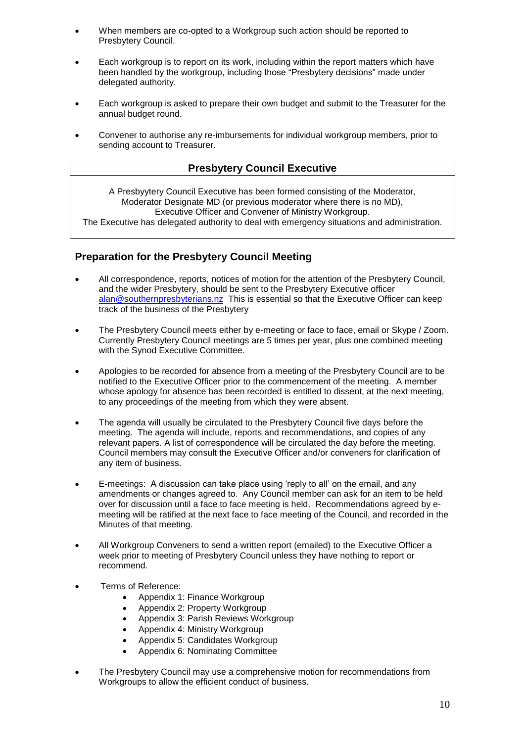- When members are co-opted to a Workgroup such action should be reported to Presbytery Council.
- Each workgroup is to report on its work, including within the report matters which have been handled by the workgroup, including those "Presbytery decisions" made under delegated authority.
- Each workgroup is asked to prepare their own budget and submit to the Treasurer for the annual budget round.
- Convener to authorise any re-imbursements for individual workgroup members, prior to sending account to Treasurer.

# **Presbytery Council Executive**

A Presbyytery Council Executive has been formed consisting of the Moderator, Moderator Designate MD (or previous moderator where there is no MD), Executive Officer and Convener of Ministry Workgroup.

The Executive has delegated authority to deal with emergency situations and administration.

# **Preparation for the Presbytery Council Meeting**

- All correspondence, reports, notices of motion for the attention of the Presbytery Council, and the wider Presbytery, should be sent to the Presbytery Executive officer [alan@southernpresbyterians.nz](mailto:alan@southernpresbyterians.nz) This is essential so that the Executive Officer can keep track of the business of the Presbytery
- The Presbytery Council meets either by e-meeting or face to face, email or Skype / Zoom. Currently Presbytery Council meetings are 5 times per year, plus one combined meeting with the Synod Executive Committee.
- Apologies to be recorded for absence from a meeting of the Presbytery Council are to be notified to the Executive Officer prior to the commencement of the meeting. A member whose apology for absence has been recorded is entitled to dissent, at the next meeting, to any proceedings of the meeting from which they were absent.
- The agenda will usually be circulated to the Presbytery Council five days before the meeting. The agenda will include, reports and recommendations, and copies of any relevant papers. A list of correspondence will be circulated the day before the meeting. Council members may consult the Executive Officer and/or conveners for clarification of any item of business.
- E-meetings: A discussion can take place using 'reply to all' on the email, and any amendments or changes agreed to. Any Council member can ask for an item to be held over for discussion until a face to face meeting is held.Recommendations agreed by emeeting will be ratified at the next face to face meeting of the Council, and recorded in the Minutes of that meeting.
- All Workgroup Conveners to send a written report (emailed) to the Executive Officer a week prior to meeting of Presbytery Council unless they have nothing to report or recommend.
- Terms of Reference:
	- Appendix 1: Finance Workgroup
	- Appendix 2: Property Workgroup
	- Appendix 3: Parish Reviews Workgroup
	- Appendix 4: Ministry Workgroup
	- Appendix 5: Candidates Workgroup
	- Appendix 6: Nominating Committee
- The Presbytery Council may use a comprehensive motion for recommendations from Workgroups to allow the efficient conduct of business.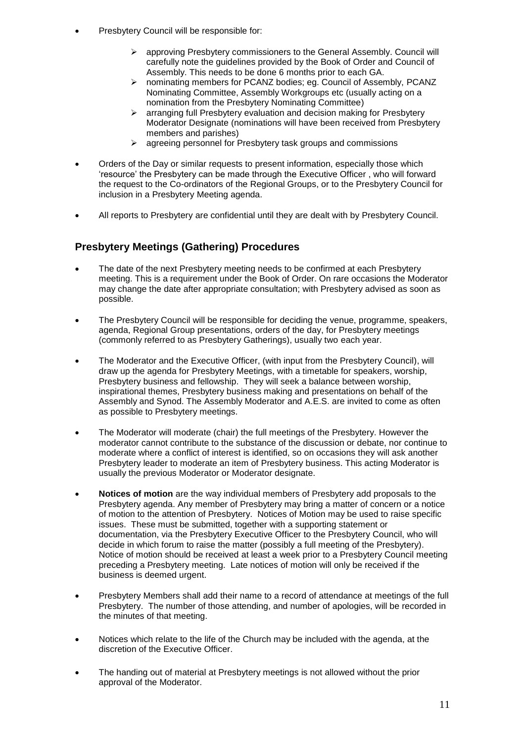- Presbytery Council will be responsible for:
	- approving Presbytery commissioners to the General Assembly. Council will carefully note the guidelines provided by the Book of Order and Council of Assembly. This needs to be done 6 months prior to each GA.
	- > nominating members for PCANZ bodies; eg. Council of Assembly, PCANZ Nominating Committee, Assembly Workgroups etc (usually acting on a nomination from the Presbytery Nominating Committee)
	- $\triangleright$  arranging full Presbytery evaluation and decision making for Presbytery Moderator Designate (nominations will have been received from Presbytery members and parishes)
	- $\triangleright$  agreeing personnel for Presbytery task groups and commissions
- Orders of the Day or similar requests to present information, especially those which 'resource' the Presbytery can be made through the Executive Officer , who will forward the request to the Co-ordinators of the Regional Groups, or to the Presbytery Council for inclusion in a Presbytery Meeting agenda.
- All reports to Presbytery are confidential until they are dealt with by Presbytery Council.

# **Presbytery Meetings (Gathering) Procedures**

- The date of the next Presbytery meeting needs to be confirmed at each Presbytery meeting. This is a requirement under the Book of Order. On rare occasions the Moderator may change the date after appropriate consultation; with Presbytery advised as soon as possible.
- The Presbytery Council will be responsible for deciding the venue, programme, speakers, agenda, Regional Group presentations, orders of the day, for Presbytery meetings (commonly referred to as Presbytery Gatherings), usually two each year.
- The Moderator and the Executive Officer, (with input from the Presbytery Council), will draw up the agenda for Presbytery Meetings, with a timetable for speakers, worship, Presbytery business and fellowship. They will seek a balance between worship, inspirational themes, Presbytery business making and presentations on behalf of the Assembly and Synod. The Assembly Moderator and A.E.S. are invited to come as often as possible to Presbytery meetings.
- The Moderator will moderate (chair) the full meetings of the Presbytery. However the moderator cannot contribute to the substance of the discussion or debate, nor continue to moderate where a conflict of interest is identified, so on occasions they will ask another Presbytery leader to moderate an item of Presbytery business. This acting Moderator is usually the previous Moderator or Moderator designate.
- **Notices of motion** are the way individual members of Presbytery add proposals to the Presbytery agenda. Any member of Presbytery may bring a matter of concern or a notice of motion to the attention of Presbytery. Notices of Motion may be used to raise specific issues. These must be submitted, together with a supporting statement or documentation, via the Presbytery Executive Officer to the Presbytery Council, who will decide in which forum to raise the matter (possibly a full meeting of the Presbytery). Notice of motion should be received at least a week prior to a Presbytery Council meeting preceding a Presbytery meeting. Late notices of motion will only be received if the business is deemed urgent.
- Presbytery Members shall add their name to a record of attendance at meetings of the full Presbytery. The number of those attending, and number of apologies, will be recorded in the minutes of that meeting.
- Notices which relate to the life of the Church may be included with the agenda, at the discretion of the Executive Officer.
- The handing out of material at Presbytery meetings is not allowed without the prior approval of the Moderator.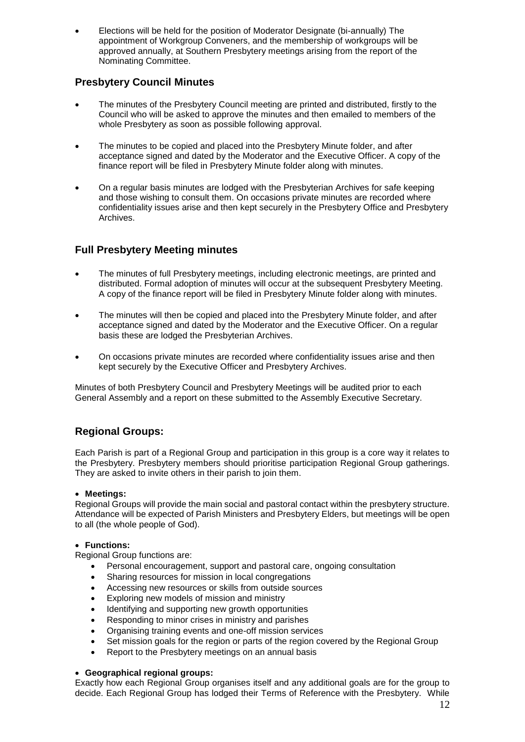Elections will be held for the position of Moderator Designate (bi-annually) The appointment of Workgroup Conveners, and the membership of workgroups will be approved annually, at Southern Presbytery meetings arising from the report of the Nominating Committee.

# **Presbytery Council Minutes**

- The minutes of the Presbytery Council meeting are printed and distributed, firstly to the Council who will be asked to approve the minutes and then emailed to members of the whole Presbytery as soon as possible following approval.
- The minutes to be copied and placed into the Presbytery Minute folder, and after acceptance signed and dated by the Moderator and the Executive Officer. A copy of the finance report will be filed in Presbytery Minute folder along with minutes.
- On a regular basis minutes are lodged with the Presbyterian Archives for safe keeping and those wishing to consult them. On occasions private minutes are recorded where confidentiality issues arise and then kept securely in the Presbytery Office and Presbytery Archives.

# **Full Presbytery Meeting minutes**

- The minutes of full Presbytery meetings, including electronic meetings, are printed and distributed. Formal adoption of minutes will occur at the subsequent Presbytery Meeting. A copy of the finance report will be filed in Presbytery Minute folder along with minutes.
- The minutes will then be copied and placed into the Presbytery Minute folder, and after acceptance signed and dated by the Moderator and the Executive Officer. On a regular basis these are lodged the Presbyterian Archives.
- On occasions private minutes are recorded where confidentiality issues arise and then kept securely by the Executive Officer and Presbytery Archives.

Minutes of both Presbytery Council and Presbytery Meetings will be audited prior to each General Assembly and a report on these submitted to the Assembly Executive Secretary.

# **Regional Groups:**

Each Parish is part of a Regional Group and participation in this group is a core way it relates to the Presbytery. Presbytery members should prioritise participation Regional Group gatherings. They are asked to invite others in their parish to join them.

#### **Meetings:**

Regional Groups will provide the main social and pastoral contact within the presbytery structure. Attendance will be expected of Parish Ministers and Presbytery Elders, but meetings will be open to all (the whole people of God).

#### **Functions:**

Regional Group functions are:

- Personal encouragement, support and pastoral care, ongoing consultation
- Sharing resources for mission in local congregations
- Accessing new resources or skills from outside sources
- Exploring new models of mission and ministry
- Identifying and supporting new growth opportunities
- Responding to minor crises in ministry and parishes
- Organising training events and one-off mission services
- Set mission goals for the region or parts of the region covered by the Regional Group
- Report to the Presbytery meetings on an annual basis

#### **Geographical regional groups:**

Exactly how each Regional Group organises itself and any additional goals are for the group to decide. Each Regional Group has lodged their Terms of Reference with the Presbytery. While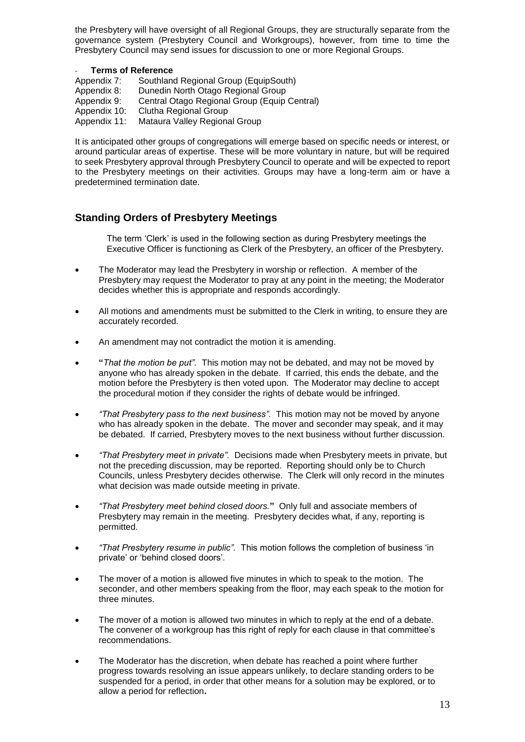the Presbytery will have oversight of all Regional Groups, they are structurally separate from the governance system (Presbytery Council and Workgroups), however, from time to time the Presbytery Council may send issues for discussion to one or more Regional Groups.

#### - **Terms of Reference**

| Appendix 7:  | Southland Regional Group (EquipSouth)        |
|--------------|----------------------------------------------|
| Appendix 8:  | Dunedin North Otago Regional Group           |
| Appendix 9:  | Central Otago Regional Group (Equip Central) |
| Appendix 10: | Clutha Regional Group                        |
| Appendix 11: | Mataura Valley Regional Group                |

It is anticipated other groups of congregations will emerge based on specific needs or interest, or around particular areas of expertise. These will be more voluntary in nature, but will be required to seek Presbytery approval through Presbytery Council to operate and will be expected to report to the Presbytery meetings on their activities. Groups may have a long-term aim or have a predetermined termination date.

# **Standing Orders of Presbytery Meetings**

The term 'Clerk' is used in the following section as during Presbytery meetings the Executive Officer is functioning as Clerk of the Presbytery, an officer of the Presbytery.

- The Moderator may lead the Presbytery in worship or reflection. A member of the Presbytery may request the Moderator to pray at any point in the meeting; the Moderator decides whether this is appropriate and responds accordingly.
- All motions and amendments must be submitted to the Clerk in writing, to ensure they are accurately recorded.
- An amendment may not contradict the motion it is amending.
- **"***That the motion be put".* This motion may not be debated, and may not be moved by anyone who has already spoken in the debate. If carried, this ends the debate, and the motion before the Presbytery is then voted upon. The Moderator may decline to accept the procedural motion if they consider the rights of debate would be infringed.
- *"That Presbytery pass to the next business".* This motion may not be moved by anyone who has already spoken in the debate. The mover and seconder may speak, and it may be debated. If carried, Presbytery moves to the next business without further discussion.
- *"That Presbytery meet in private".*Decisions made when Presbytery meets in private, but not the preceding discussion, may be reported. Reporting should only be to Church Councils, unless Presbytery decides otherwise. The Clerk will only record in the minutes what decision was made outside meeting in private.
- *"That Presbytery meet behind closed doors.***"** Only full and associate members of Presbytery may remain in the meeting. Presbytery decides what, if any, reporting is permitted.
- *"That Presbytery resume in public".* This motion follows the completion of business 'in private' or 'behind closed doors'.
- The mover of a motion is allowed five minutes in which to speak to the motion. The seconder, and other members speaking from the floor, may each speak to the motion for three minutes.
- The mover of a motion is allowed two minutes in which to reply at the end of a debate. The convener of a workgroup has this right of reply for each clause in that committee's recommendations.
- The Moderator has the discretion, when debate has reached a point where further progress towards resolving an issue appears unlikely, to declare standing orders to be suspended for a period, in order that other means for a solution may be explored, or to allow a period for reflection**.**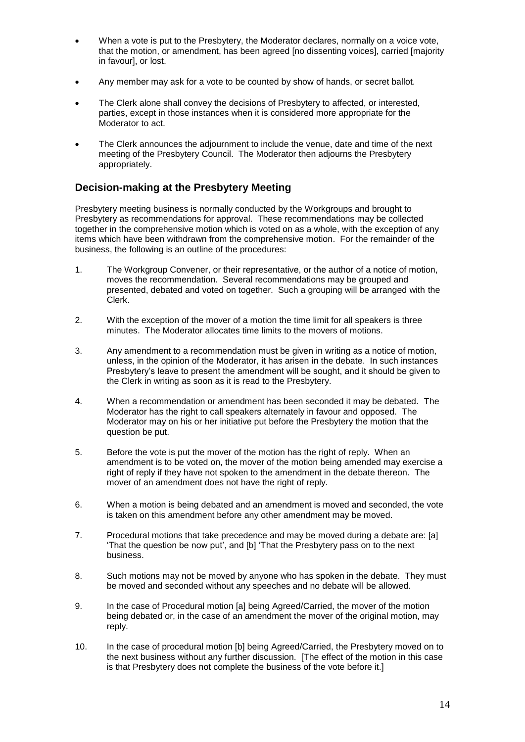- When a vote is put to the Presbytery, the Moderator declares, normally on a voice vote, that the motion, or amendment, has been agreed [no dissenting voices], carried [majority in favour], or lost.
- Any member may ask for a vote to be counted by show of hands, or secret ballot.
- The Clerk alone shall convey the decisions of Presbytery to affected, or interested, parties, except in those instances when it is considered more appropriate for the Moderator to act.
- The Clerk announces the adjournment to include the venue, date and time of the next meeting of the Presbytery Council. The Moderator then adjourns the Presbytery appropriately.

# **Decision-making at the Presbytery Meeting**

Presbytery meeting business is normally conducted by the Workgroups and brought to Presbytery as recommendations for approval. These recommendations may be collected together in the comprehensive motion which is voted on as a whole, with the exception of any items which have been withdrawn from the comprehensive motion. For the remainder of the business, the following is an outline of the procedures:

- 1. The Workgroup Convener, or their representative, or the author of a notice of motion, moves the recommendation. Several recommendations may be grouped and presented, debated and voted on together. Such a grouping will be arranged with the Clerk.
- 2. With the exception of the mover of a motion the time limit for all speakers is three minutes. The Moderator allocates time limits to the movers of motions.
- 3. Any amendment to a recommendation must be given in writing as a notice of motion, unless, in the opinion of the Moderator, it has arisen in the debate. In such instances Presbytery's leave to present the amendment will be sought, and it should be given to the Clerk in writing as soon as it is read to the Presbytery.
- 4. When a recommendation or amendment has been seconded it may be debated. The Moderator has the right to call speakers alternately in favour and opposed. The Moderator may on his or her initiative put before the Presbytery the motion that the question be put.
- 5. Before the vote is put the mover of the motion has the right of reply. When an amendment is to be voted on, the mover of the motion being amended may exercise a right of reply if they have not spoken to the amendment in the debate thereon. The mover of an amendment does not have the right of reply.
- 6. When a motion is being debated and an amendment is moved and seconded, the vote is taken on this amendment before any other amendment may be moved.
- 7. Procedural motions that take precedence and may be moved during a debate are: [a] 'That the question be now put', and [b] 'That the Presbytery pass on to the next business.
- 8. Such motions may not be moved by anyone who has spoken in the debate. They must be moved and seconded without any speeches and no debate will be allowed.
- 9. In the case of Procedural motion [a] being Agreed/Carried, the mover of the motion being debated or, in the case of an amendment the mover of the original motion, may reply.
- 10. In the case of procedural motion [b] being Agreed/Carried, the Presbytery moved on to the next business without any further discussion. [The effect of the motion in this case is that Presbytery does not complete the business of the vote before it.]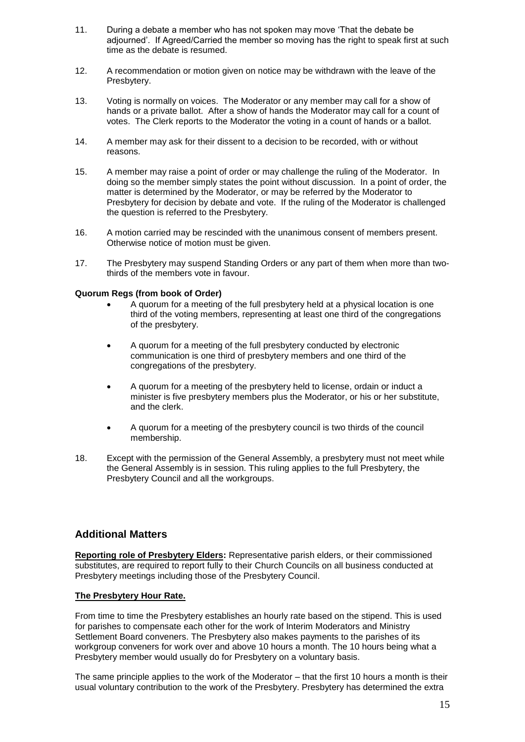- 11. During a debate a member who has not spoken may move 'That the debate be adjourned'. If Agreed/Carried the member so moving has the right to speak first at such time as the debate is resumed.
- 12. A recommendation or motion given on notice may be withdrawn with the leave of the Presbytery.
- 13. Voting is normally on voices. The Moderator or any member may call for a show of hands or a private ballot. After a show of hands the Moderator may call for a count of votes. The Clerk reports to the Moderator the voting in a count of hands or a ballot.
- 14. A member may ask for their dissent to a decision to be recorded, with or without reasons.
- 15. A member may raise a point of order or may challenge the ruling of the Moderator. In doing so the member simply states the point without discussion. In a point of order, the matter is determined by the Moderator, or may be referred by the Moderator to Presbytery for decision by debate and vote. If the ruling of the Moderator is challenged the question is referred to the Presbytery.
- 16. A motion carried may be rescinded with the unanimous consent of members present. Otherwise notice of motion must be given.
- 17. The Presbytery may suspend Standing Orders or any part of them when more than twothirds of the members vote in favour.

#### **Quorum Regs (from book of Order)**

- A quorum for a meeting of the full presbytery held at a physical location is one third of the voting members, representing at least one third of the congregations of the presbytery.
- A quorum for a meeting of the full presbytery conducted by electronic communication is one third of presbytery members and one third of the congregations of the presbytery.
- A quorum for a meeting of the presbytery held to license, ordain or induct a minister is five presbytery members plus the Moderator, or his or her substitute, and the clerk.
- A quorum for a meeting of the presbytery council is two thirds of the council membership.
- 18. Except with the permission of the General Assembly, a presbytery must not meet while the General Assembly is in session. This ruling applies to the full Presbytery, the Presbytery Council and all the workgroups.

# **Additional Matters**

**Reporting role of Presbytery Elders:** Representative parish elders, or their commissioned substitutes, are required to report fully to their Church Councils on all business conducted at Presbytery meetings including those of the Presbytery Council.

#### **The Presbytery Hour Rate.**

From time to time the Presbytery establishes an hourly rate based on the stipend. This is used for parishes to compensate each other for the work of Interim Moderators and Ministry Settlement Board conveners. The Presbytery also makes payments to the parishes of its workgroup conveners for work over and above 10 hours a month. The 10 hours being what a Presbytery member would usually do for Presbytery on a voluntary basis.

The same principle applies to the work of the Moderator – that the first 10 hours a month is their usual voluntary contribution to the work of the Presbytery. Presbytery has determined the extra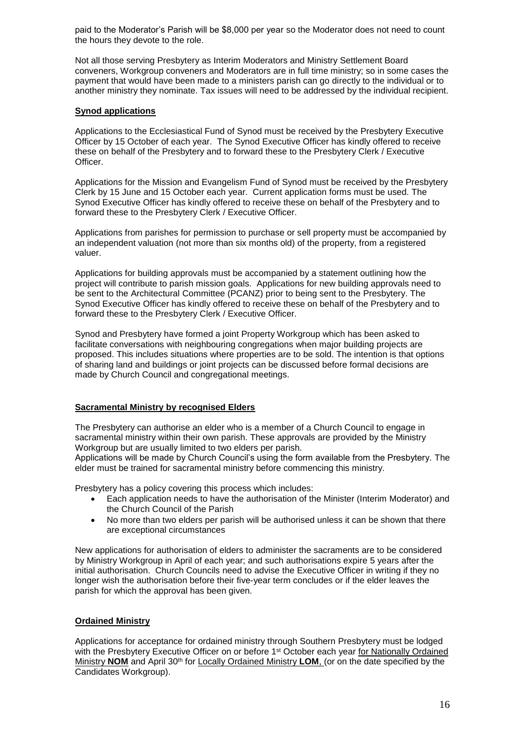paid to the Moderator's Parish will be \$8,000 per year so the Moderator does not need to count the hours they devote to the role.

Not all those serving Presbytery as Interim Moderators and Ministry Settlement Board conveners, Workgroup conveners and Moderators are in full time ministry; so in some cases the payment that would have been made to a ministers parish can go directly to the individual or to another ministry they nominate. Tax issues will need to be addressed by the individual recipient.

#### **Synod applications**

Applications to the Ecclesiastical Fund of Synod must be received by the Presbytery Executive Officer by 15 October of each year. The Synod Executive Officer has kindly offered to receive these on behalf of the Presbytery and to forward these to the Presbytery Clerk / Executive Officer.

Applications for the Mission and Evangelism Fund of Synod must be received by the Presbytery Clerk by 15 June and 15 October each year. Current application forms must be used. The Synod Executive Officer has kindly offered to receive these on behalf of the Presbytery and to forward these to the Presbytery Clerk / Executive Officer.

Applications from parishes for permission to purchase or sell property must be accompanied by an independent valuation (not more than six months old) of the property, from a registered valuer.

Applications for building approvals must be accompanied by a statement outlining how the project will contribute to parish mission goals. Applications for new building approvals need to be sent to the Architectural Committee (PCANZ) prior to being sent to the Presbytery. The Synod Executive Officer has kindly offered to receive these on behalf of the Presbytery and to forward these to the Presbytery Clerk / Executive Officer.

Synod and Presbytery have formed a joint Property Workgroup which has been asked to facilitate conversations with neighbouring congregations when major building projects are proposed. This includes situations where properties are to be sold. The intention is that options of sharing land and buildings or joint projects can be discussed before formal decisions are made by Church Council and congregational meetings.

#### **Sacramental Ministry by recognised Elders**

The Presbytery can authorise an elder who is a member of a Church Council to engage in sacramental ministry within their own parish. These approvals are provided by the Ministry Workgroup but are usually limited to two elders per parish.

Applications will be made by Church Council's using the form available from the Presbytery. The elder must be trained for sacramental ministry before commencing this ministry.

Presbytery has a policy covering this process which includes:

- Each application needs to have the authorisation of the Minister (Interim Moderator) and the Church Council of the Parish
- No more than two elders per parish will be authorised unless it can be shown that there are exceptional circumstances

New applications for authorisation of elders to administer the sacraments are to be considered by Ministry Workgroup in April of each year; and such authorisations expire 5 years after the initial authorisation. Church Councils need to advise the Executive Officer in writing if they no longer wish the authorisation before their five-year term concludes or if the elder leaves the parish for which the approval has been given.

# **Ordained Ministry**

Applications for acceptance for ordained ministry through Southern Presbytery must be lodged with the Presbytery Executive Officer on or before 1<sup>st</sup> October each year for Nationally Ordained Ministry **NOM** and April 30th for Locally Ordained Ministry **LOM**, (or on the date specified by the Candidates Workgroup).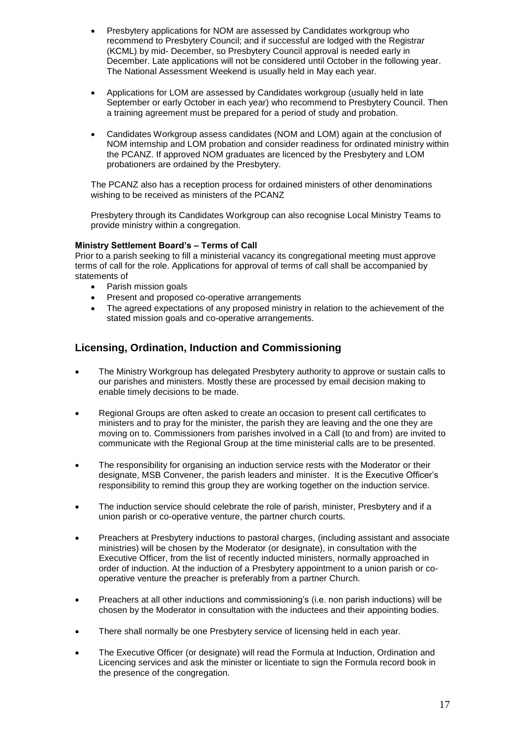- Presbytery applications for NOM are assessed by Candidates workgroup who recommend to Presbytery Council; and if successful are lodged with the Registrar (KCML) by mid- December, so Presbytery Council approval is needed early in December. Late applications will not be considered until October in the following year. The National Assessment Weekend is usually held in May each year.
- Applications for LOM are assessed by Candidates workgroup (usually held in late September or early October in each year) who recommend to Presbytery Council. Then a training agreement must be prepared for a period of study and probation.
- Candidates Workgroup assess candidates (NOM and LOM) again at the conclusion of NOM internship and LOM probation and consider readiness for ordinated ministry within the PCANZ. If approved NOM graduates are licenced by the Presbytery and LOM probationers are ordained by the Presbytery.

The PCANZ also has a reception process for ordained ministers of other denominations wishing to be received as ministers of the PCANZ

Presbytery through its Candidates Workgroup can also recognise Local Ministry Teams to provide ministry within a congregation.

#### **Ministry Settlement Board's – Terms of Call**

Prior to a parish seeking to fill a ministerial vacancy its congregational meeting must approve terms of call for the role. Applications for approval of terms of call shall be accompanied by statements of

- Parish mission goals
- Present and proposed co-operative arrangements
- The agreed expectations of any proposed ministry in relation to the achievement of the stated mission goals and co-operative arrangements.

# **Licensing, Ordination, Induction and Commissioning**

- The Ministry Workgroup has delegated Presbytery authority to approve or sustain calls to our parishes and ministers. Mostly these are processed by email decision making to enable timely decisions to be made.
- Regional Groups are often asked to create an occasion to present call certificates to ministers and to pray for the minister, the parish they are leaving and the one they are moving on to. Commissioners from parishes involved in a Call (to and from) are invited to communicate with the Regional Group at the time ministerial calls are to be presented.
- The responsibility for organising an induction service rests with the Moderator or their designate, MSB Convener, the parish leaders and minister. It is the Executive Officer's responsibility to remind this group they are working together on the induction service.
- The induction service should celebrate the role of parish, minister, Presbytery and if a union parish or co-operative venture, the partner church courts.
- Preachers at Presbytery inductions to pastoral charges, (including assistant and associate ministries) will be chosen by the Moderator (or designate), in consultation with the Executive Officer, from the list of recently inducted ministers, normally approached in order of induction. At the induction of a Presbytery appointment to a union parish or cooperative venture the preacher is preferably from a partner Church.
- Preachers at all other inductions and commissioning's (i.e. non parish inductions) will be chosen by the Moderator in consultation with the inductees and their appointing bodies.
- There shall normally be one Presbytery service of licensing held in each year.
- The Executive Officer (or designate) will read the Formula at Induction, Ordination and Licencing services and ask the minister or licentiate to sign the Formula record book in the presence of the congregation.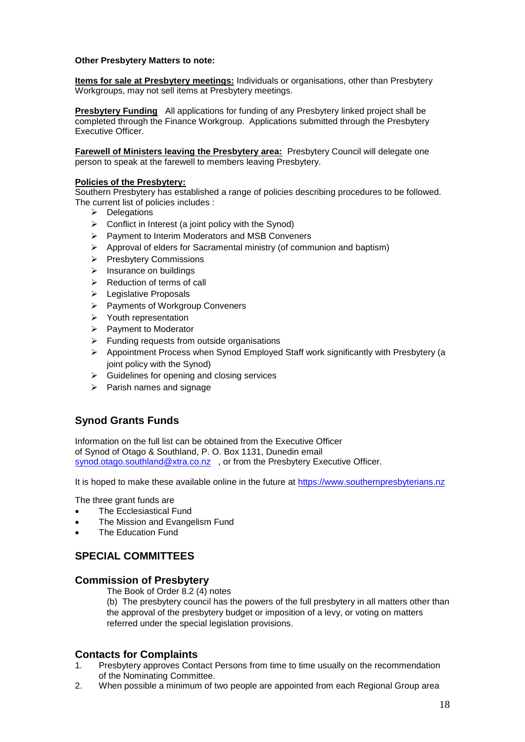#### **Other Presbytery Matters to note:**

**Items for sale at Presbytery meetings:** Individuals or organisations, other than Presbytery Workgroups, may not sell items at Presbytery meetings.

**Presbytery Funding** All applications for funding of any Presbytery linked project shall be completed through the Finance Workgroup. Applications submitted through the Presbytery Executive Officer.

**Farewell of Ministers leaving the Presbytery area:** Presbytery Council will delegate one person to speak at the farewell to members leaving Presbytery.

#### **Policies of the Presbytery:**

Southern Presbytery has established a range of policies describing procedures to be followed. The current list of policies includes :

- $\triangleright$  Delegations
- $\triangleright$  Conflict in Interest (a joint policy with the Synod)
- $\triangleright$  Payment to Interim Moderators and MSB Conveners
- $\triangleright$  Approval of elders for Sacramental ministry (of communion and baptism)
- $\triangleright$  Presbytery Commissions
- $\triangleright$  Insurance on buildings
- $\triangleright$  Reduction of terms of call
- ▶ Legislative Proposals
- > Payments of Workgroup Conveners
- $\triangleright$  Youth representation
- $\triangleright$  Payment to Moderator
- $\triangleright$  Funding requests from outside organisations
- $\triangleright$  Appointment Process when Synod Employed Staff work significantly with Presbytery (a joint policy with the Synod)
- $\triangleright$  Guidelines for opening and closing services
- $\triangleright$  Parish names and signage

# **Synod Grants Funds**

Information on the full list can be obtained from the Executive Officer of Synod of Otago & Southland, P. O. Box 1131, Dunedin email [synod.otago.southland@xtra.co.nz](mailto:synod.otago.southland@xtra.co.nz) , or from the Presbytery Executive Officer.

It is hoped to make these available online in the future at [https://www.southernpresbyterians.nz](https://www.southernpresbyterians.nz/)

The three grant funds are

- The Ecclesiastical Fund
- The Mission and Evangelism Fund
- The Education Fund

# **SPECIAL COMMITTEES**

#### **Commission of Presbytery**

The Book of Order 8.2 (4) notes

(b) The presbytery council has the powers of the full presbytery in all matters other than the approval of the presbytery budget or imposition of a levy, or voting on matters referred under the special legislation provisions.

# **Contacts for Complaints**

- 1. Presbytery approves Contact Persons from time to time usually on the recommendation of the Nominating Committee.
- 2. When possible a minimum of two people are appointed from each Regional Group area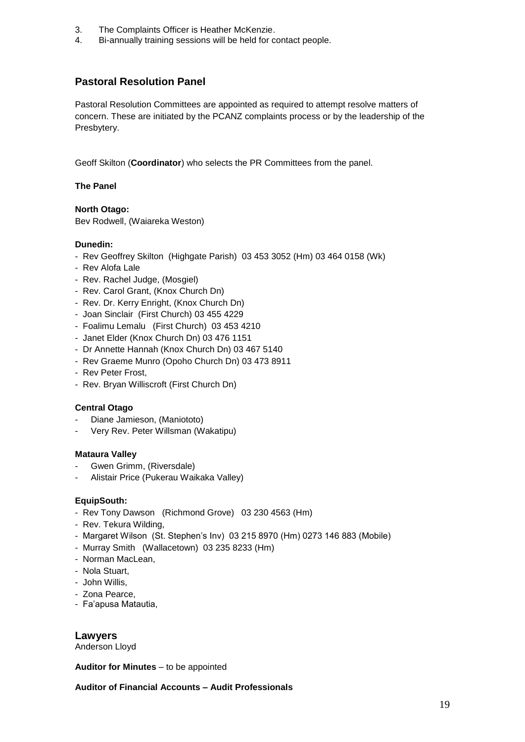- 3. The Complaints Officer is Heather McKenzie.
- 4. Bi-annually training sessions will be held for contact people.

# **Pastoral Resolution Panel**

Pastoral Resolution Committees are appointed as required to attempt resolve matters of concern. These are initiated by the PCANZ complaints process or by the leadership of the Presbytery.

Geoff Skilton (**Coordinator**) who selects the PR Committees from the panel.

#### **The Panel**

**North Otago:** Bev Rodwell, (Waiareka Weston)

#### **Dunedin:**

- Rev Geoffrey Skilton (Highgate Parish) 03 453 3052 (Hm) 03 464 0158 (Wk)
- Rev Alofa Lale
- Rev. Rachel Judge, (Mosgiel)
- Rev. Carol Grant, (Knox Church Dn)
- Rev. Dr. Kerry Enright, (Knox Church Dn)
- Joan Sinclair (First Church) 03 455 4229
- Foalimu Lemalu (First Church) 03 453 4210
- Janet Elder (Knox Church Dn) 03 476 1151
- Dr Annette Hannah (Knox Church Dn) 03 467 5140
- Rev Graeme Munro (Opoho Church Dn) 03 473 8911
- Rev Peter Frost,
- Rev. Bryan Williscroft (First Church Dn)

#### **Central Otago**

- Diane Jamieson, (Maniototo)
- Very Rev. Peter Willsman (Wakatipu)

#### **Mataura Valley**

- Gwen Grimm, (Riversdale)
- Alistair Price (Pukerau Waikaka Valley)

#### **EquipSouth:**

- Rev Tony Dawson (Richmond Grove) 03 230 4563 (Hm)
- Rev. Tekura Wilding,
- Margaret Wilson (St. Stephen's Inv) 03 215 8970 (Hm) 0273 146 883 (Mobile)
- Murray Smith (Wallacetown) 03 235 8233 (Hm)
- Norman MacLean,
- Nola Stuart,
- John Willis,
- Zona Pearce,
- Fa'apusa Matautia,

**Lawyers**

Anderson Lloyd

#### **Auditor for Minutes** – to be appointed

**Auditor of Financial Accounts – Audit Professionals**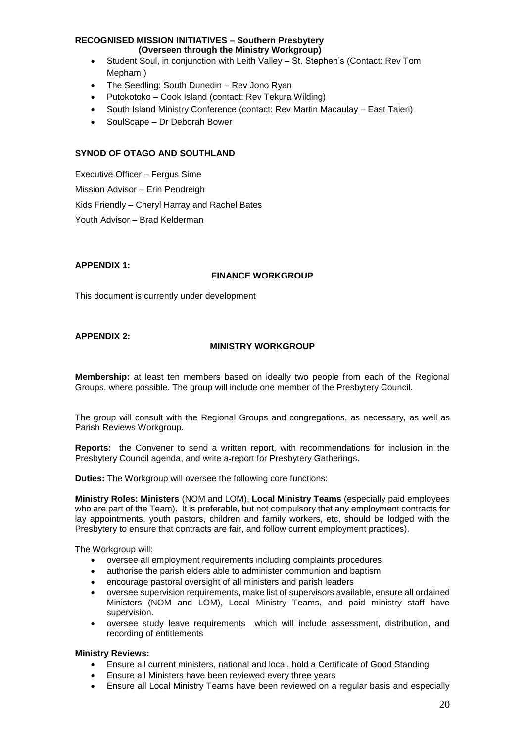#### **RECOGNISED MISSION INITIATIVES – Southern Presbytery**

**(Overseen through the Ministry Workgroup)** 

- Student Soul, in conjunction with Leith Valley St. Stephen's (Contact: Rev Tom Mepham )
- The Seedling: South Dunedin Rev Jono Ryan
- Putokotoko Cook Island (contact: Rev Tekura Wilding)
- South Island Ministry Conference (contact: Rev Martin Macaulay East Taieri)
- SoulScape Dr Deborah Bower

#### **SYNOD OF OTAGO AND SOUTHLAND**

Executive Officer – Fergus Sime Mission Advisor – Erin Pendreigh Kids Friendly – Cheryl Harray and Rachel Bates Youth Advisor – Brad Kelderman

#### **APPENDIX 1:**

#### **FINANCE WORKGROUP**

This document is currently under development

#### **APPENDIX 2:**

#### **MINISTRY WORKGROUP**

**Membership:** at least ten members based on ideally two people from each of the Regional Groups, where possible. The group will include one member of the Presbytery Council.

The group will consult with the Regional Groups and congregations, as necessary, as well as Parish Reviews Workgroup.

**Reports:** the Convener to send a written report, with recommendations for inclusion in the Presbytery Council agenda, and write a report for Presbytery Gatherings.

**Duties:** The Workgroup will oversee the following core functions:

**Ministry Roles: Ministers** (NOM and LOM), **Local Ministry Teams** (especially paid employees who are part of the Team). It is preferable, but not compulsory that any employment contracts for lay appointments, youth pastors, children and family workers, etc, should be lodged with the Presbytery to ensure that contracts are fair, and follow current employment practices).

The Workgroup will:

- oversee all employment requirements including complaints procedures
- authorise the parish elders able to administer communion and baptism
- encourage pastoral oversight of all ministers and parish leaders
- oversee supervision requirements, make list of supervisors available, ensure all ordained Ministers (NOM and LOM), Local Ministry Teams, and paid ministry staff have supervision.
- oversee study leave requirements which will include assessment, distribution, and recording of entitlements

#### **Ministry Reviews:**

- Ensure all current ministers, national and local, hold a Certificate of Good Standing
- Ensure all Ministers have been reviewed every three years
- Ensure all Local Ministry Teams have been reviewed on a regular basis and especially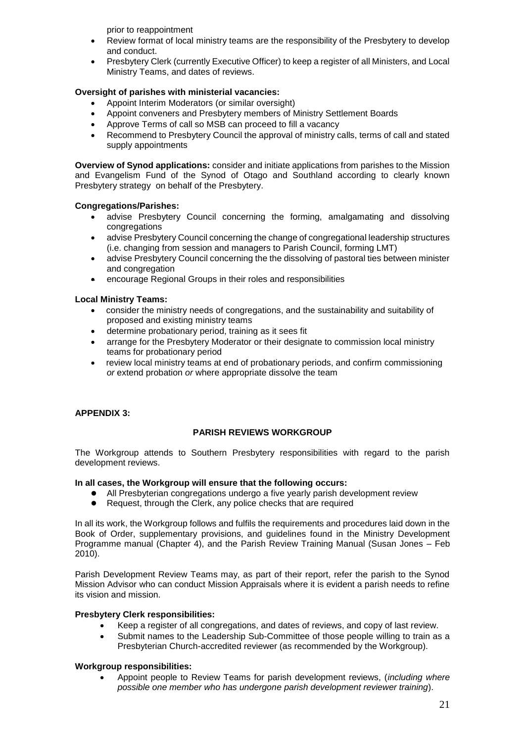prior to reappointment

- Review format of local ministry teams are the responsibility of the Presbytery to develop and conduct.
- Presbytery Clerk (currently Executive Officer) to keep a register of all Ministers, and Local Ministry Teams, and dates of reviews.

#### **Oversight of parishes with ministerial vacancies:**

- Appoint Interim Moderators (or similar oversight)
- Appoint conveners and Presbytery members of Ministry Settlement Boards
- Approve Terms of call so MSB can proceed to fill a vacancy
- Recommend to Presbytery Council the approval of ministry calls, terms of call and stated supply appointments

**Overview of Synod applications:** consider and initiate applications from parishes to the Mission and Evangelism Fund of the Synod of Otago and Southland according to clearly known Presbytery strategy on behalf of the Presbytery.

#### **Congregations/Parishes:**

- advise Presbytery Council concerning the forming, amalgamating and dissolving congregations
- advise Presbytery Council concerning the change of congregational leadership structures (i.e. changing from session and managers to Parish Council, forming LMT)
- advise Presbytery Council concerning the the dissolving of pastoral ties between minister and congregation
- encourage Regional Groups in their roles and responsibilities

#### **Local Ministry Teams:**

- consider the ministry needs of congregations, and the sustainability and suitability of proposed and existing ministry teams
- determine probationary period, training as it sees fit
- arrange for the Presbytery Moderator or their designate to commission local ministry teams for probationary period
- review local ministry teams at end of probationary periods, and confirm commissioning *or* extend probation *or* where appropriate dissolve the team

#### **APPENDIX 3:**

#### **PARISH REVIEWS WORKGROUP**

The Workgroup attends to Southern Presbytery responsibilities with regard to the parish development reviews.

#### **In all cases, the Workgroup will ensure that the following occurs:**

- All Presbyterian congregations undergo a five yearly parish development review
- Request, through the Clerk, any police checks that are required

In all its work, the Workgroup follows and fulfils the requirements and procedures laid down in the Book of Order, supplementary provisions, and guidelines found in the Ministry Development Programme manual (Chapter 4), and the Parish Review Training Manual (Susan Jones – Feb 2010).

Parish Development Review Teams may, as part of their report, refer the parish to the Synod Mission Advisor who can conduct Mission Appraisals where it is evident a parish needs to refine its vision and mission.

#### **Presbytery Clerk responsibilities:**

- Keep a register of all congregations, and dates of reviews, and copy of last review.
- Submit names to the Leadership Sub-Committee of those people willing to train as a Presbyterian Church-accredited reviewer (as recommended by the Workgroup).

#### **Workgroup responsibilities:**

 Appoint people to Review Teams for parish development reviews, (*including where possible one member who has undergone parish development reviewer training*).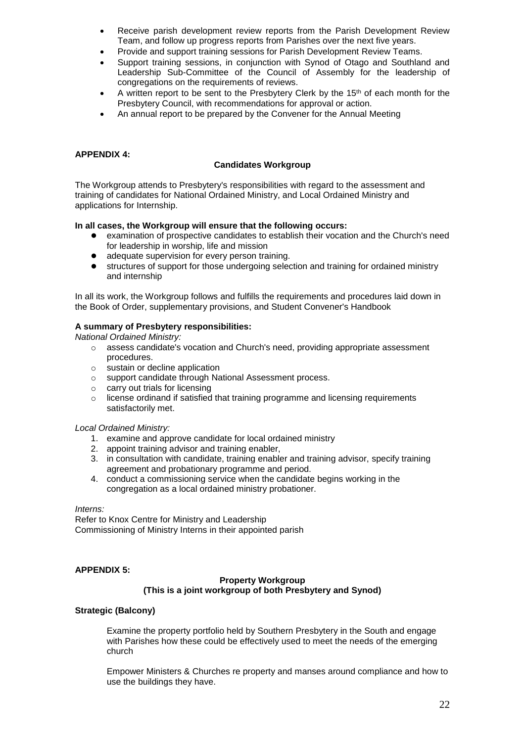- Receive parish development review reports from the Parish Development Review Team, and follow up progress reports from Parishes over the next five years.
- Provide and support training sessions for Parish Development Review Teams.
- Support training sessions, in conjunction with Synod of Otago and Southland and Leadership Sub-Committee of the Council of Assembly for the leadership of congregations on the requirements of reviews.
- A written report to be sent to the Presbytery Clerk by the 15<sup>th</sup> of each month for the Presbytery Council, with recommendations for approval or action.
- An annual report to be prepared by the Convener for the Annual Meeting

#### **APPENDIX 4:**

#### **Candidates Workgroup**

The Workgroup attends to Presbytery's responsibilities with regard to the assessment and training of candidates for National Ordained Ministry, and Local Ordained Ministry and applications for Internship.

#### **In all cases, the Workgroup will ensure that the following occurs:**

- examination of prospective candidates to establish their vocation and the Church's need for leadership in worship, life and mission
- adequate supervision for every person training.
- structures of support for those undergoing selection and training for ordained ministry and internship

In all its work, the Workgroup follows and fulfills the requirements and procedures laid down in the Book of Order, supplementary provisions, and Student Convener's Handbook

#### **A summary of Presbytery responsibilities:**

*National Ordained Ministry:*

- $\circ$  assess candidate's vocation and Church's need, providing appropriate assessment procedures.
- o sustain or decline application
- o support candidate through National Assessment process.
- o carry out trials for licensing
- $\circ$  license ordinand if satisfied that training programme and licensing requirements satisfactorily met.

#### *Local Ordained Ministry:*

- 1. examine and approve candidate for local ordained ministry
- 2. appoint training advisor and training enabler,
- 3. in consultation with candidate, training enabler and training advisor, specify training agreement and probationary programme and period.
- 4. conduct a commissioning service when the candidate begins working in the congregation as a local ordained ministry probationer.

*Interns:*

Refer to Knox Centre for Ministry and Leadership Commissioning of Ministry Interns in their appointed parish

#### **APPENDIX 5:**

#### **Property Workgroup (This is a joint workgroup of both Presbytery and Synod)**

#### **Strategic (Balcony)**

Examine the property portfolio held by Southern Presbytery in the South and engage with Parishes how these could be effectively used to meet the needs of the emerging church

Empower Ministers & Churches re property and manses around compliance and how to use the buildings they have.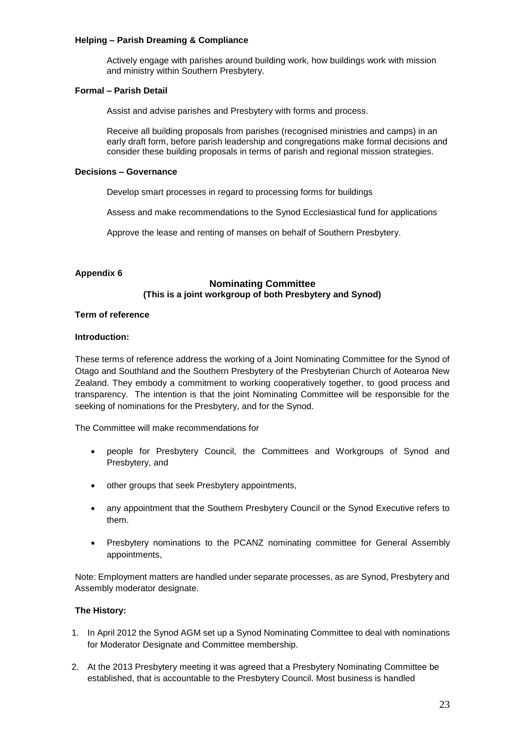#### **Helping – Parish Dreaming & Compliance**

Actively engage with parishes around building work, how buildings work with mission and ministry within Southern Presbytery.

#### **Formal – Parish Detail**

Assist and advise parishes and Presbytery with forms and process.

Receive all building proposals from parishes (recognised ministries and camps) in an early draft form, before parish leadership and congregations make formal decisions and consider these building proposals in terms of parish and regional mission strategies.

#### **Decisions – Governance**

Develop smart processes in regard to processing forms for buildings

Assess and make recommendations to the Synod Ecclesiastical fund for applications

Approve the lease and renting of manses on behalf of Southern Presbytery.

#### **Appendix 6**

#### **Nominating Committee (This is a joint workgroup of both Presbytery and Synod)**

#### **Term of reference**

#### **Introduction:**

These terms of reference address the working of a Joint Nominating Committee for the Synod of Otago and Southland and the Southern Presbytery of the Presbyterian Church of Aotearoa New Zealand. They embody a commitment to working cooperatively together, to good process and transparency. The intention is that the joint Nominating Committee will be responsible for the seeking of nominations for the Presbytery, and for the Synod.

The Committee will make recommendations for

- people for Presbytery Council, the Committees and Workgroups of Synod and Presbytery, and
- other groups that seek Presbytery appointments,
- any appointment that the Southern Presbytery Council or the Synod Executive refers to them.
- Presbytery nominations to the PCANZ nominating committee for General Assembly appointments,

Note: Employment matters are handled under separate processes, as are Synod, Presbytery and Assembly moderator designate.

#### **The History:**

- 1. In April 2012 the Synod AGM set up a Synod Nominating Committee to deal with nominations for Moderator Designate and Committee membership.
- 2. At the 2013 Presbytery meeting it was agreed that a Presbytery Nominating Committee be established, that is accountable to the Presbytery Council. Most business is handled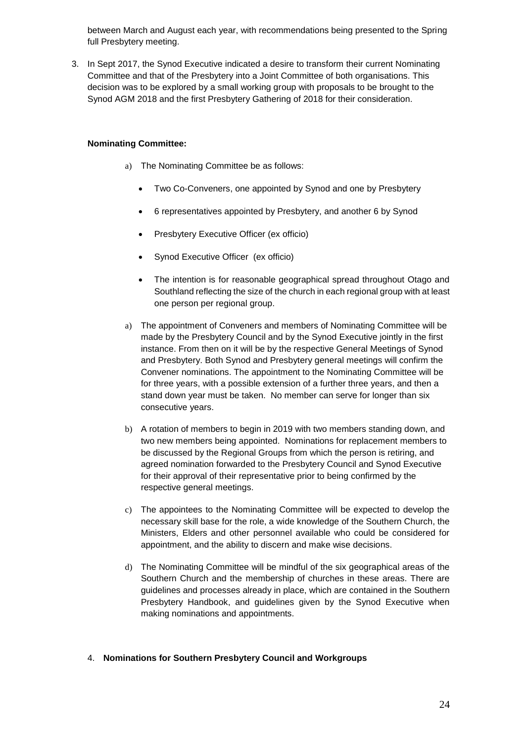between March and August each year, with recommendations being presented to the Spring full Presbytery meeting.

3. In Sept 2017, the Synod Executive indicated a desire to transform their current Nominating Committee and that of the Presbytery into a Joint Committee of both organisations. This decision was to be explored by a small working group with proposals to be brought to the Synod AGM 2018 and the first Presbytery Gathering of 2018 for their consideration.

#### **Nominating Committee:**

- a) The Nominating Committee be as follows:
	- Two Co-Conveners, one appointed by Synod and one by Presbytery
	- 6 representatives appointed by Presbytery, and another 6 by Synod
	- Presbytery Executive Officer (ex officio)
	- Synod Executive Officer (ex officio)
	- The intention is for reasonable geographical spread throughout Otago and Southland reflecting the size of the church in each regional group with at least one person per regional group.
- a) The appointment of Conveners and members of Nominating Committee will be made by the Presbytery Council and by the Synod Executive jointly in the first instance. From then on it will be by the respective General Meetings of Synod and Presbytery. Both Synod and Presbytery general meetings will confirm the Convener nominations. The appointment to the Nominating Committee will be for three years, with a possible extension of a further three years, and then a stand down year must be taken. No member can serve for longer than six consecutive years.
- b) A rotation of members to begin in 2019 with two members standing down, and two new members being appointed. Nominations for replacement members to be discussed by the Regional Groups from which the person is retiring, and agreed nomination forwarded to the Presbytery Council and Synod Executive for their approval of their representative prior to being confirmed by the respective general meetings.
- c) The appointees to the Nominating Committee will be expected to develop the necessary skill base for the role, a wide knowledge of the Southern Church, the Ministers, Elders and other personnel available who could be considered for appointment, and the ability to discern and make wise decisions.
- d) The Nominating Committee will be mindful of the six geographical areas of the Southern Church and the membership of churches in these areas. There are guidelines and processes already in place, which are contained in the Southern Presbytery Handbook, and guidelines given by the Synod Executive when making nominations and appointments.

#### 4. **Nominations for Southern Presbytery Council and Workgroups**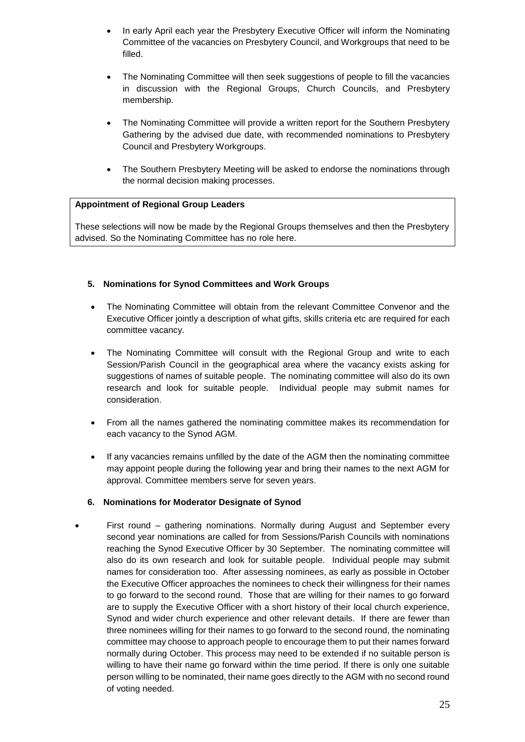- In early April each year the Presbytery Executive Officer will inform the Nominating Committee of the vacancies on Presbytery Council, and Workgroups that need to be filled.
- The Nominating Committee will then seek suggestions of people to fill the vacancies in discussion with the Regional Groups, Church Councils, and Presbytery membership.
- The Nominating Committee will provide a written report for the Southern Presbytery Gathering by the advised due date, with recommended nominations to Presbytery Council and Presbytery Workgroups.
- The Southern Presbytery Meeting will be asked to endorse the nominations through the normal decision making processes.

#### **Appointment of Regional Group Leaders**

These selections will now be made by the Regional Groups themselves and then the Presbytery advised. So the Nominating Committee has no role here.

#### **5. Nominations for Synod Committees and Work Groups**

- The Nominating Committee will obtain from the relevant Committee Convenor and the Executive Officer jointly a description of what gifts, skills criteria etc are required for each committee vacancy.
- The Nominating Committee will consult with the Regional Group and write to each Session/Parish Council in the geographical area where the vacancy exists asking for suggestions of names of suitable people. The nominating committee will also do its own research and look for suitable people. Individual people may submit names for consideration.
- From all the names gathered the nominating committee makes its recommendation for each vacancy to the Synod AGM.
- If any vacancies remains unfilled by the date of the AGM then the nominating committee may appoint people during the following year and bring their names to the next AGM for approval. Committee members serve for seven years.

#### **6. Nominations for Moderator Designate of Synod**

 First round – gathering nominations. Normally during August and September every second year nominations are called for from Sessions/Parish Councils with nominations reaching the Synod Executive Officer by 30 September. The nominating committee will also do its own research and look for suitable people. Individual people may submit names for consideration too. After assessing nominees, as early as possible in October the Executive Officer approaches the nominees to check their willingness for their names to go forward to the second round. Those that are willing for their names to go forward are to supply the Executive Officer with a short history of their local church experience, Synod and wider church experience and other relevant details. If there are fewer than three nominees willing for their names to go forward to the second round, the nominating committee may choose to approach people to encourage them to put their names forward normally during October. This process may need to be extended if no suitable person is willing to have their name go forward within the time period. If there is only one suitable person willing to be nominated, their name goes directly to the AGM with no second round of voting needed.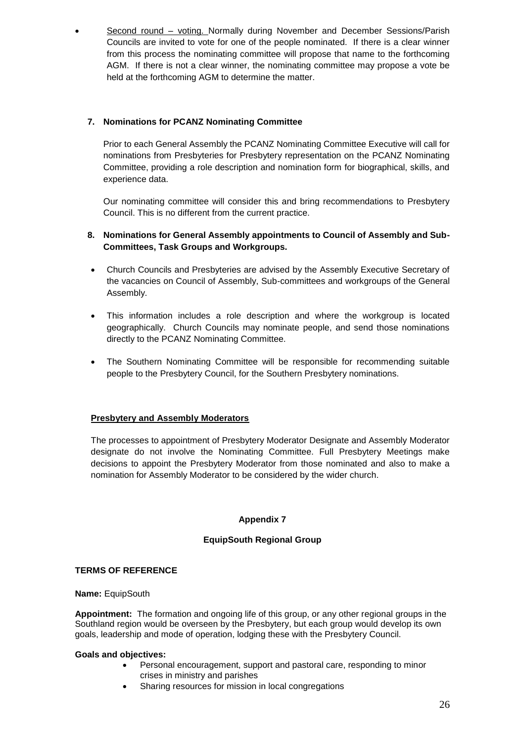Second round – voting. Normally during November and December Sessions/Parish Councils are invited to vote for one of the people nominated. If there is a clear winner from this process the nominating committee will propose that name to the forthcoming AGM. If there is not a clear winner, the nominating committee may propose a vote be held at the forthcoming AGM to determine the matter.

# **7. Nominations for PCANZ Nominating Committee**

Prior to each General Assembly the PCANZ Nominating Committee Executive will call for nominations from Presbyteries for Presbytery representation on the PCANZ Nominating Committee, providing a role description and nomination form for biographical, skills, and experience data.

Our nominating committee will consider this and bring recommendations to Presbytery Council. This is no different from the current practice.

# **8. Nominations for General Assembly appointments to Council of Assembly and Sub-Committees, Task Groups and Workgroups.**

- Church Councils and Presbyteries are advised by the Assembly Executive Secretary of the vacancies on Council of Assembly, Sub-committees and workgroups of the General Assembly.
- This information includes a role description and where the workgroup is located geographically. Church Councils may nominate people, and send those nominations directly to the PCANZ Nominating Committee.
- The Southern Nominating Committee will be responsible for recommending suitable people to the Presbytery Council, for the Southern Presbytery nominations.

# **Presbytery and Assembly Moderators**

The processes to appointment of Presbytery Moderator Designate and Assembly Moderator designate do not involve the Nominating Committee. Full Presbytery Meetings make decisions to appoint the Presbytery Moderator from those nominated and also to make a nomination for Assembly Moderator to be considered by the wider church.

# **Appendix 7**

# **EquipSouth Regional Group**

# **TERMS OF REFERENCE**

#### **Name:** EquipSouth

**Appointment:** The formation and ongoing life of this group, or any other regional groups in the Southland region would be overseen by the Presbytery, but each group would develop its own goals, leadership and mode of operation, lodging these with the Presbytery Council.

#### **Goals and objectives:**

- Personal encouragement, support and pastoral care, responding to minor crises in ministry and parishes
- Sharing resources for mission in local congregations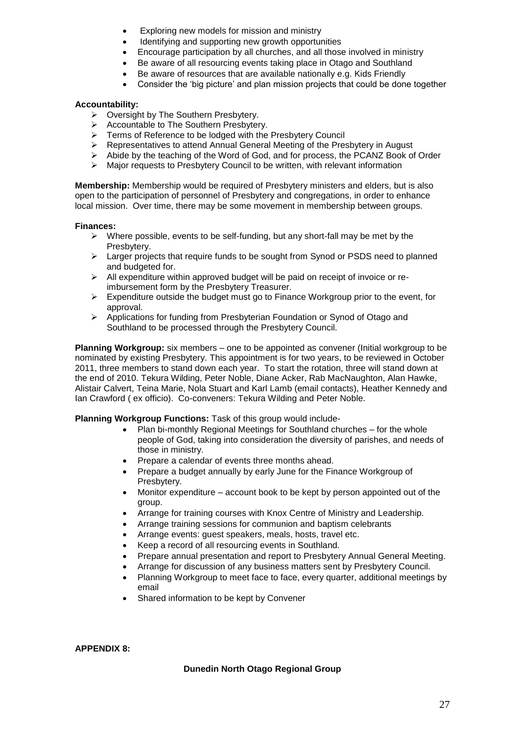- Exploring new models for mission and ministry
- Identifying and supporting new growth opportunities
- Encourage participation by all churches, and all those involved in ministry
- Be aware of all resourcing events taking place in Otago and Southland
	- Be aware of resources that are available nationally e.g. Kids Friendly
- Consider the 'big picture' and plan mission projects that could be done together

#### **Accountability:**

- > Oversight by The Southern Presbytery.
- Accountable to The Southern Presbytery.
- $\triangleright$  Terms of Reference to be lodged with the Presbytery Council
- Representatives to attend Annual General Meeting of the Presbytery in August
- $\triangleright$  Abide by the teaching of the Word of God, and for process, the PCANZ Book of Order
- $\triangleright$  Major requests to Presbytery Council to be written, with relevant information

**Membership:** Membership would be required of Presbytery ministers and elders, but is also open to the participation of personnel of Presbytery and congregations, in order to enhance local mission. Over time, there may be some movement in membership between groups.

#### **Finances:**

- $\triangleright$  Where possible, events to be self-funding, but any short-fall may be met by the Presbytery.
- $\triangleright$  Larger projects that require funds to be sought from Synod or PSDS need to planned and budgeted for.
- $\triangleright$  All expenditure within approved budget will be paid on receipt of invoice or reimbursement form by the Presbytery Treasurer.
- $\triangleright$  Expenditure outside the budget must go to Finance Workgroup prior to the event, for approval.
- Applications for funding from Presbyterian Foundation or Synod of Otago and Southland to be processed through the Presbytery Council.

**Planning Workgroup:** six members – one to be appointed as convener (Initial workgroup to be nominated by existing Presbytery. This appointment is for two years, to be reviewed in October 2011, three members to stand down each year. To start the rotation, three will stand down at the end of 2010. Tekura Wilding, Peter Noble, Diane Acker, Rab MacNaughton, Alan Hawke, Alistair Calvert, Teina Marie, Nola Stuart and Karl Lamb (email contacts), Heather Kennedy and Ian Crawford ( ex officio). Co-conveners: Tekura Wilding and Peter Noble.

#### **Planning Workgroup Functions:** Task of this group would include-

- Plan bi-monthly Regional Meetings for Southland churches for the whole people of God, taking into consideration the diversity of parishes, and needs of those in ministry.
- Prepare a calendar of events three months ahead.
- Prepare a budget annually by early June for the Finance Workgroup of Presbytery.
- Monitor expenditure account book to be kept by person appointed out of the group.
- Arrange for training courses with Knox Centre of Ministry and Leadership.
- Arrange training sessions for communion and baptism celebrants
- Arrange events: guest speakers, meals, hosts, travel etc.
- Keep a record of all resourcing events in Southland.
- Prepare annual presentation and report to Presbytery Annual General Meeting.
- Arrange for discussion of any business matters sent by Presbytery Council.
- Planning Workgroup to meet face to face, every quarter, additional meetings by email
- Shared information to be kept by Convener

**APPENDIX 8:**

#### **Dunedin North Otago Regional Group**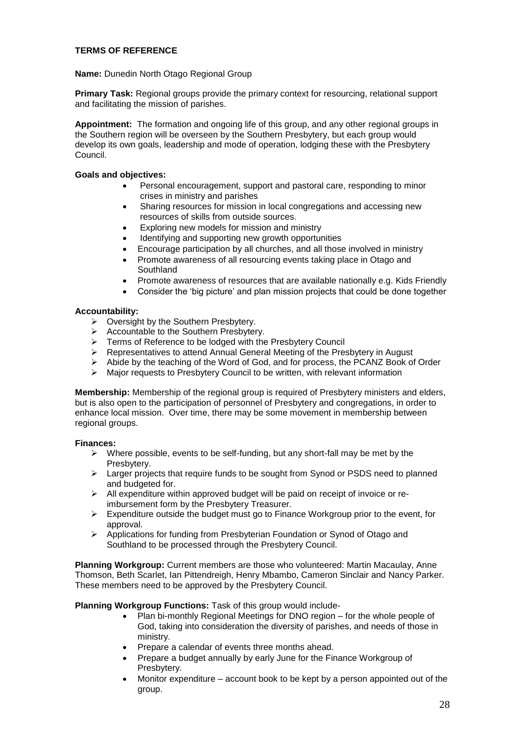#### **TERMS OF REFERENCE**

**Name:** Dunedin North Otago Regional Group

**Primary Task:** Regional groups provide the primary context for resourcing, relational support and facilitating the mission of parishes.

**Appointment:** The formation and ongoing life of this group, and any other regional groups in the Southern region will be overseen by the Southern Presbytery, but each group would develop its own goals, leadership and mode of operation, lodging these with the Presbytery Council.

#### **Goals and objectives:**

- Personal encouragement, support and pastoral care, responding to minor crises in ministry and parishes
- Sharing resources for mission in local congregations and accessing new resources of skills from outside sources.
- Exploring new models for mission and ministry
- Identifying and supporting new growth opportunities
- Encourage participation by all churches, and all those involved in ministry
- Promote awareness of all resourcing events taking place in Otago and Southland
- Promote awareness of resources that are available nationally e.g. Kids Friendly
- Consider the 'big picture' and plan mission projects that could be done together

#### **Accountability:**

- Oversight by the Southern Presbytery.
- Accountable to the Southern Presbytery.
- Fraccountable to the Southern Fresbytery.<br>
Ferms of Reference to be lodged with the Presbytery Council
- Representatives to attend Annual General Meeting of the Presbytery in August
- $\triangleright$  Abide by the teaching of the Word of God, and for process, the PCANZ Book of Order
- $\triangleright$  Major requests to Presbytery Council to be written, with relevant information

**Membership:** Membership of the regional group is required of Presbytery ministers and elders, but is also open to the participation of personnel of Presbytery and congregations, in order to enhance local mission. Over time, there may be some movement in membership between regional groups.

#### **Finances:**

- $\triangleright$  Where possible, events to be self-funding, but any short-fall may be met by the Presbytery.
- $\triangleright$  Larger projects that require funds to be sought from Synod or PSDS need to planned and budgeted for.
- All expenditure within approved budget will be paid on receipt of invoice or reimbursement form by the Presbytery Treasurer.
- $\triangleright$  Expenditure outside the budget must go to Finance Workgroup prior to the event, for approval.
- Applications for funding from Presbyterian Foundation or Synod of Otago and Southland to be processed through the Presbytery Council.

**Planning Workgroup:** Current members are those who volunteered: Martin Macaulay, Anne Thomson, Beth Scarlet, Ian Pittendreigh, Henry Mbambo, Cameron Sinclair and Nancy Parker. These members need to be approved by the Presbytery Council.

**Planning Workgroup Functions:** Task of this group would include-

- Plan bi-monthly Regional Meetings for DNO region for the whole people of God, taking into consideration the diversity of parishes, and needs of those in ministry.
- Prepare a calendar of events three months ahead.
- Prepare a budget annually by early June for the Finance Workgroup of Presbytery.
- Monitor expenditure account book to be kept by a person appointed out of the group.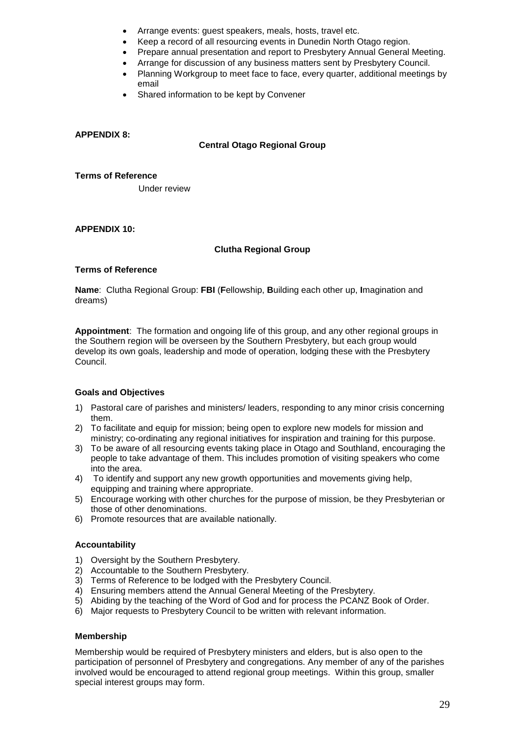- Arrange events: guest speakers, meals, hosts, travel etc.
- Keep a record of all resourcing events in Dunedin North Otago region.
- Prepare annual presentation and report to Presbytery Annual General Meeting.
- Arrange for discussion of any business matters sent by Presbytery Council.
- Planning Workgroup to meet face to face, every quarter, additional meetings by email
- Shared information to be kept by Convener

#### **APPENDIX 8:**

#### **Central Otago Regional Group**

**Terms of Reference**

Under review

#### **APPENDIX 10:**

#### **Clutha Regional Group**

#### **Terms of Reference**

**Name**: Clutha Regional Group: **FBI** (**F**ellowship, **B**uilding each other up, **I**magination and dreams)

**Appointment**: The formation and ongoing life of this group, and any other regional groups in the Southern region will be overseen by the Southern Presbytery, but each group would develop its own goals, leadership and mode of operation, lodging these with the Presbytery Council.

#### **Goals and Objectives**

- 1) Pastoral care of parishes and ministers/ leaders, responding to any minor crisis concerning them.
- 2) To facilitate and equip for mission; being open to explore new models for mission and ministry; co-ordinating any regional initiatives for inspiration and training for this purpose.
- 3) To be aware of all resourcing events taking place in Otago and Southland, encouraging the people to take advantage of them. This includes promotion of visiting speakers who come into the area.
- 4) To identify and support any new growth opportunities and movements giving help, equipping and training where appropriate.
- 5) Encourage working with other churches for the purpose of mission, be they Presbyterian or those of other denominations.
- 6) Promote resources that are available nationally.

#### **Accountability**

- 1) Oversight by the Southern Presbytery.
- 2) Accountable to the Southern Presbytery.
- 3) Terms of Reference to be lodged with the Presbytery Council.
- 4) Ensuring members attend the Annual General Meeting of the Presbytery.
- 5) Abiding by the teaching of the Word of God and for process the PCANZ Book of Order.
- 6) Major requests to Presbytery Council to be written with relevant information.

#### **Membership**

Membership would be required of Presbytery ministers and elders, but is also open to the participation of personnel of Presbytery and congregations. Any member of any of the parishes involved would be encouraged to attend regional group meetings. Within this group, smaller special interest groups may form.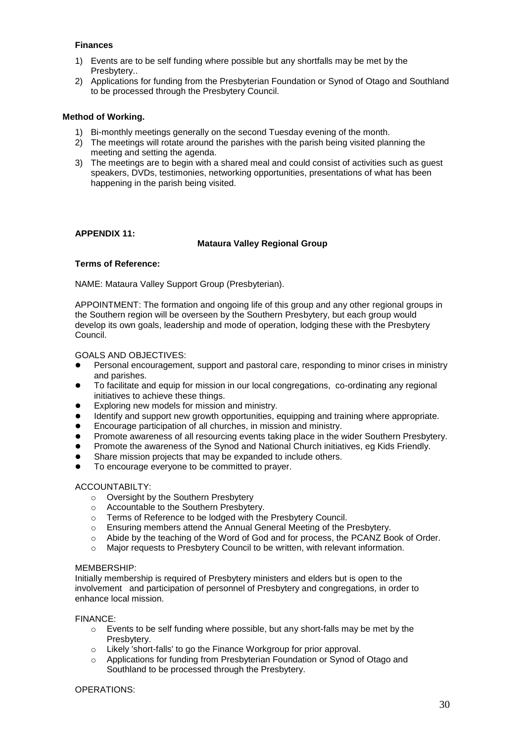#### **Finances**

- 1) Events are to be self funding where possible but any shortfalls may be met by the Presbytery..
- 2) Applications for funding from the Presbyterian Foundation or Synod of Otago and Southland to be processed through the Presbytery Council.

#### **Method of Working.**

- 1) Bi-monthly meetings generally on the second Tuesday evening of the month.
- 2) The meetings will rotate around the parishes with the parish being visited planning the meeting and setting the agenda.
- 3) The meetings are to begin with a shared meal and could consist of activities such as guest speakers, DVDs, testimonies, networking opportunities, presentations of what has been happening in the parish being visited.

#### **APPENDIX 11:**

#### **Mataura Valley Regional Group**

#### **Terms of Reference:**

NAME: Mataura Valley Support Group (Presbyterian).

APPOINTMENT: The formation and ongoing life of this group and any other regional groups in the Southern region will be overseen by the Southern Presbytery, but each group would develop its own goals, leadership and mode of operation, lodging these with the Presbytery Council.

#### GOALS AND OBJECTIVES:

- Personal encouragement, support and pastoral care, responding to minor crises in ministry and parishes.
- To facilitate and equip for mission in our local congregations, co-ordinating any regional initiatives to achieve these things.
- Exploring new models for mission and ministry.
- Identify and support new growth opportunities, equipping and training where appropriate.
- Encourage participation of all churches, in mission and ministry.
- Promote awareness of all resourcing events taking place in the wider Southern Presbytery.
- Promote the awareness of the Synod and National Church initiatives, eg Kids Friendly.
- Share mission projects that may be expanded to include others.
- To encourage everyone to be committed to prayer.

#### ACCOUNTABILTY:

- o Oversight by the Southern Presbytery
- o Accountable to the Southern Presbytery.
- o Terms of Reference to be lodged with the Presbytery Council.
- o Ensuring members attend the Annual General Meeting of the Presbytery.
- o Abide by the teaching of the Word of God and for process, the PCANZ Book of Order.
- o Major requests to Presbytery Council to be written, with relevant information.

#### MEMBERSHIP:

Initially membership is required of Presbytery ministers and elders but is open to the involvement and participation of personnel of Presbytery and congregations, in order to enhance local mission.

FINANCE:

- $\circ$  Events to be self funding where possible, but any short-falls may be met by the Presbytery.
- o Likely 'short-falls' to go the Finance Workgroup for prior approval.
- o Applications for funding from Presbyterian Foundation or Synod of Otago and Southland to be processed through the Presbytery.

#### OPERATIONS: